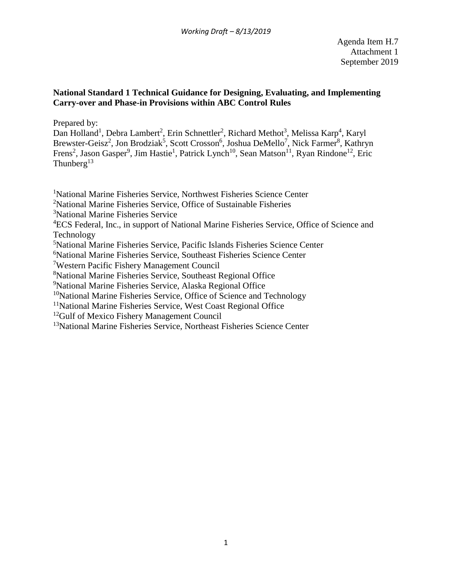## **National Standard 1 Technical Guidance for Designing, Evaluating, and Implementing Carry-over and Phase-in Provisions within ABC Control Rules**

Prepared by:

Dan Holland<sup>1</sup>, Debra Lambert<sup>2</sup>, Erin Schnettler<sup>2</sup>, Richard Methot<sup>3</sup>, Melissa Karp<sup>4</sup>, Karyl Brewster-Geisz<sup>2</sup>, Jon Brodziak<sup>5</sup>, Scott Crosson<sup>6</sup>, Joshua DeMello<sup>7</sup>, Nick Farmer<sup>8</sup>, Kathryn Frens<sup>2</sup>, Jason Gasper<sup>9</sup>, Jim Hastie<sup>1</sup>, Patrick Lynch<sup>10</sup>, Sean Matson<sup>11</sup>, Ryan Rindone<sup>12</sup>, Eric Thunberg<sup>13</sup>

<sup>1</sup>National Marine Fisheries Service, Northwest Fisheries Science Center

<sup>2</sup>National Marine Fisheries Service, Office of Sustainable Fisheries

3 National Marine Fisheries Service

<sup>4</sup>ECS Federal, Inc., in support of National Marine Fisheries Service, Office of Science and Technology

5 National Marine Fisheries Service, Pacific Islands Fisheries Science Center

6 National Marine Fisheries Service, Southeast Fisheries Science Center

7 Western Pacific Fishery Management Council

8 National Marine Fisheries Service, Southeast Regional Office

9 National Marine Fisheries Service, Alaska Regional Office

 $10$ National Marine Fisheries Service, Office of Science and Technology

<sup>11</sup>National Marine Fisheries Service, West Coast Regional Office

<sup>12</sup>Gulf of Mexico Fishery Management Council

<sup>13</sup>National Marine Fisheries Service, Northeast Fisheries Science Center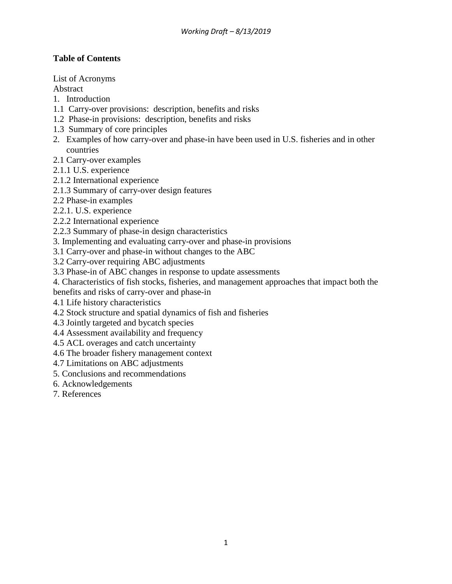# **Table of Contents**

List of Acronyms

Abstract

- 1. Introduction
- 1.1 Carry-over provisions: description, benefits and risks
- 1.2 Phase-in provisions: description, benefits and risks
- 1.3 Summary of core principles
- 2. Examples of how carry-over and phase-in have been used in U.S. fisheries and in other countries
- 2.1 Carry-over examples
- 2.1.1 U.S. experience
- 2.1.2 International experience
- 2.1.3 Summary of carry-over design features
- 2.2 Phase-in examples
- 2.2.1. U.S. experience
- 2.2.2 International experience
- 2.2.3 Summary of phase-in design characteristics
- 3. Implementing and evaluating carry-over and phase-in provisions
- 3.1 Carry-over and phase-in without changes to the ABC
- 3.2 Carry-over requiring ABC adjustments
- 3.3 Phase-in of ABC changes in response to update assessments
- 4. Characteristics of fish stocks, fisheries, and management approaches that impact both the
- benefits and risks of carry-over and phase-in
- 4.1 Life history characteristics
- 4.2 Stock structure and spatial dynamics of fish and fisheries
- 4.3 Jointly targeted and bycatch species
- 4.4 Assessment availability and frequency
- 4.5 ACL overages and catch uncertainty
- 4.6 The broader fishery management context
- 4.7 Limitations on ABC adjustments
- 5. Conclusions and recommendations
- 6. Acknowledgements
- 7. References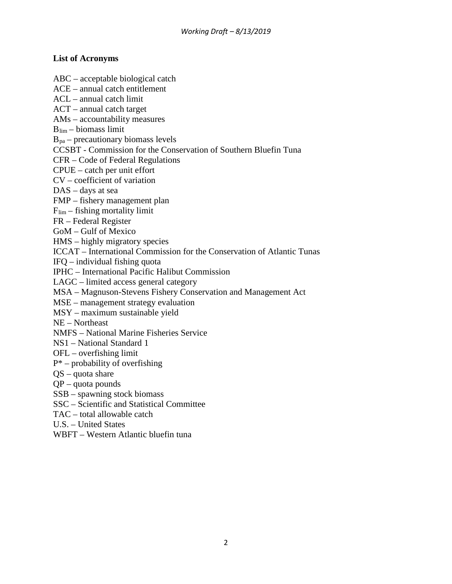## **List of Acronyms**

ABC – acceptable biological catch

ACE – annual catch entitlement

ACL – annual catch limit

ACT – annual catch target

AMs – accountability measures

 $B_{\text{lim}} - \text{biomass limit}$ 

 $B_{pa}$  – precautionary biomass levels

CCSBT - Commission for the Conservation of Southern Bluefin Tuna

CFR – Code of Federal Regulations

CPUE – catch per unit effort

CV – coefficient of variation

DAS – days at sea

FMP – fishery management plan

 $F_{\text{lim}}$  – fishing mortality limit

FR – Federal Register

GoM – Gulf of Mexico

HMS – highly migratory species

ICCAT – International Commission for the Conservation of Atlantic Tunas

IFQ – individual fishing quota

IPHC – International Pacific Halibut Commission

LAGC – limited access general category

MSA – Magnuson-Stevens Fishery Conservation and Management Act

MSE – management strategy evaluation

MSY – maximum sustainable yield

NE – Northeast

NMFS – National Marine Fisheries Service

NS1 – National Standard 1

OFL – overfishing limit

 $P^*$  – probability of overfishing

QS – quota share

QP – quota pounds

SSB – spawning stock biomass

SSC – Scientific and Statistical Committee

TAC – total allowable catch

U.S. – United States

WBFT – Western Atlantic bluefin tuna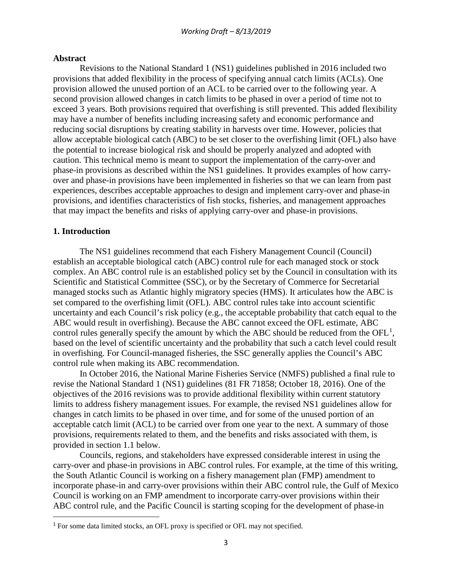#### **Abstract**

Revisions to the National Standard 1 (NS1) guidelines published in 2016 included two provisions that added flexibility in the process of specifying annual catch limits (ACLs). One provision allowed the unused portion of an ACL to be carried over to the following year. A second provision allowed changes in catch limits to be phased in over a period of time not to exceed 3 years. Both provisions required that overfishing is still prevented. This added flexibility may have a number of benefits including increasing safety and economic performance and reducing social disruptions by creating stability in harvests over time. However, policies that allow acceptable biological catch (ABC) to be set closer to the overfishing limit (OFL) also have the potential to increase biological risk and should be properly analyzed and adopted with caution. This technical memo is meant to support the implementation of the carry-over and phase-in provisions as described within the NS1 guidelines. It provides examples of how carryover and phase-in provisions have been implemented in fisheries so that we can learn from past experiences, describes acceptable approaches to design and implement carry-over and phase-in provisions, and identifies characteristics of fish stocks, fisheries, and management approaches that may impact the benefits and risks of applying carry-over and phase-in provisions.

### **1. Introduction**

The NS1 guidelines recommend that each Fishery Management Council (Council) establish an acceptable biological catch (ABC) control rule for each managed stock or stock complex. An ABC control rule is an established policy set by the Council in consultation with its Scientific and Statistical Committee (SSC), or by the Secretary of Commerce for Secretarial managed stocks such as Atlantic highly migratory species (HMS). It articulates how the ABC is set compared to the overfishing limit (OFL). ABC control rules take into account scientific uncertainty and each Council's risk policy (e.g., the acceptable probability that catch equal to the ABC would result in overfishing). Because the ABC cannot exceed the OFL estimate, ABC control rules generally specify the amount by which the ABC should be reduced from the  $OFL<sup>1</sup>$  $OFL<sup>1</sup>$  $OFL<sup>1</sup>$ , based on the level of scientific uncertainty and the probability that such a catch level could result in overfishing. For Council-managed fisheries, the SSC generally applies the Council's ABC control rule when making its ABC recommendation.

In October 2016, the National Marine Fisheries Service (NMFS) published a final rule to revise the National Standard 1 (NS1) guidelines (81 FR 71858; October 18, 2016). One of the objectives of the 2016 revisions was to provide additional flexibility within current statutory limits to address fishery management issues. For example, the revised NS1 guidelines allow for changes in catch limits to be phased in over time, and for some of the unused portion of an acceptable catch limit (ACL) to be carried over from one year to the next. A summary of those provisions, requirements related to them, and the benefits and risks associated with them, is provided in section 1.1 below.

Councils, regions, and stakeholders have expressed considerable interest in using the carry-over and phase-in provisions in ABC control rules. For example, at the time of this writing, the South Atlantic Council is working on a fishery management plan (FMP) amendment to incorporate phase-in and carry-over provisions within their ABC control rule, the Gulf of Mexico Council is working on an FMP amendment to incorporate carry-over provisions within their ABC control rule, and the Pacific Council is starting scoping for the development of phase-in

<span id="page-3-0"></span><sup>&</sup>lt;sup>1</sup> For some data limited stocks, an OFL proxy is specified or OFL may not specified.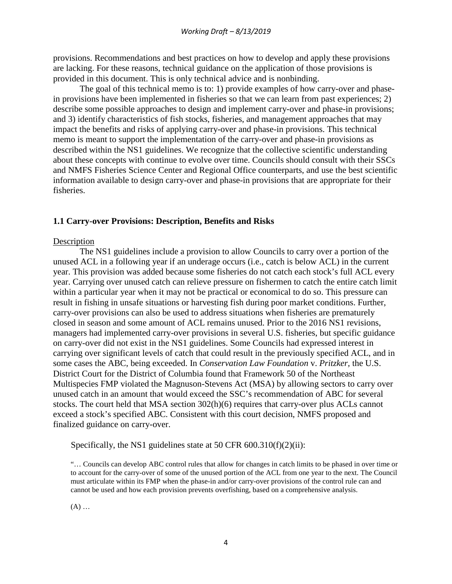provisions. Recommendations and best practices on how to develop and apply these provisions are lacking. For these reasons, technical guidance on the application of those provisions is provided in this document. This is only technical advice and is nonbinding.

The goal of this technical memo is to: 1) provide examples of how carry-over and phasein provisions have been implemented in fisheries so that we can learn from past experiences; 2) describe some possible approaches to design and implement carry-over and phase-in provisions; and 3) identify characteristics of fish stocks, fisheries, and management approaches that may impact the benefits and risks of applying carry-over and phase-in provisions. This technical memo is meant to support the implementation of the carry-over and phase-in provisions as described within the NS1 guidelines. We recognize that the collective scientific understanding about these concepts with continue to evolve over time. Councils should consult with their SSCs and NMFS Fisheries Science Center and Regional Office counterparts, and use the best scientific information available to design carry-over and phase-in provisions that are appropriate for their fisheries.

## **1.1 Carry-over Provisions: Description, Benefits and Risks**

#### Description

The NS1 guidelines include a provision to allow Councils to carry over a portion of the unused ACL in a following year if an underage occurs (i.e., catch is below ACL) in the current year. This provision was added because some fisheries do not catch each stock's full ACL every year. Carrying over unused catch can relieve pressure on fishermen to catch the entire catch limit within a particular year when it may not be practical or economical to do so. This pressure can result in fishing in unsafe situations or harvesting fish during poor market conditions. Further, carry-over provisions can also be used to address situations when fisheries are prematurely closed in season and some amount of ACL remains unused. Prior to the 2016 NS1 revisions, managers had implemented carry-over provisions in several U.S. fisheries, but specific guidance on carry-over did not exist in the NS1 guidelines. Some Councils had expressed interest in carrying over significant levels of catch that could result in the previously specified ACL, and in some cases the ABC, being exceeded. In *Conservation Law Foundation* v. *Pritzker,* the U.S. District Court for the District of Columbia found that Framework 50 of the Northeast Multispecies FMP violated the Magnuson-Stevens Act (MSA) by allowing sectors to carry over unused catch in an amount that would exceed the SSC's recommendation of ABC for several stocks. The court held that MSA section 302(h)(6) requires that carry-over plus ACLs cannot exceed a stock's specified ABC. Consistent with this court decision, NMFS proposed and finalized guidance on carry-over.

Specifically, the NS1 guidelines state at 50 CFR 600.310(f)(2)(ii):

"… Councils can develop ABC control rules that allow for changes in catch limits to be phased in over time or to account for the carry-over of some of the unused portion of the ACL from one year to the next. The Council must articulate within its FMP when the phase-in and/or carry-over provisions of the control rule can and cannot be used and how each provision prevents overfishing, based on a comprehensive analysis.

(A) …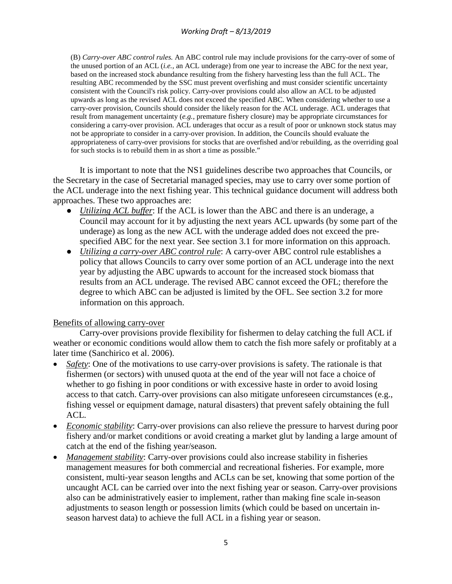(B) *Carry-over ABC control rules.* An ABC control rule may include provisions for the carry-over of some of the unused portion of an ACL (*i.e.,* an ACL underage) from one year to increase the ABC for the next year, based on the increased stock abundance resulting from the fishery harvesting less than the full ACL. The resulting ABC recommended by the SSC must prevent overfishing and must consider scientific uncertainty consistent with the Council's risk policy. Carry-over provisions could also allow an ACL to be adjusted upwards as long as the revised ACL does not exceed the specified ABC. When considering whether to use a carry-over provision, Councils should consider the likely reason for the ACL underage. ACL underages that result from management uncertainty (*e.g.,* premature fishery closure) may be appropriate circumstances for considering a carry-over provision. ACL underages that occur as a result of poor or unknown stock status may not be appropriate to consider in a carry-over provision. In addition, the Councils should evaluate the appropriateness of carry-over provisions for stocks that are overfished and/or rebuilding, as the overriding goal for such stocks is to rebuild them in as short a time as possible."

It is important to note that the NS1 guidelines describe two approaches that Councils, or the Secretary in the case of Secretarial managed species, may use to carry over some portion of the ACL underage into the next fishing year. This technical guidance document will address both approaches. These two approaches are:

- *Utilizing ACL buffer*: If the ACL is lower than the ABC and there is an underage, a Council may account for it by adjusting the next years ACL upwards (by some part of the underage) as long as the new ACL with the underage added does not exceed the prespecified ABC for the next year. See section 3.1 for more information on this approach.
- *Utilizing a carry-over ABC control rule*: A carry-over ABC control rule establishes a policy that allows Councils to carry over some portion of an ACL underage into the next year by adjusting the ABC upwards to account for the increased stock biomass that results from an ACL underage. The revised ABC cannot exceed the OFL; therefore the degree to which ABC can be adjusted is limited by the OFL. See section 3.2 for more information on this approach.

## Benefits of allowing carry-over

Carry-over provisions provide flexibility for fishermen to delay catching the full ACL if weather or economic conditions would allow them to catch the fish more safely or profitably at a later time (Sanchirico et al. 2006).

- *Safety*: One of the motivations to use carry-over provisions is safety. The rationale is that fishermen (or sectors) with unused quota at the end of the year will not face a choice of whether to go fishing in poor conditions or with excessive haste in order to avoid losing access to that catch. Carry-over provisions can also mitigate unforeseen circumstances (e.g., fishing vessel or equipment damage, natural disasters) that prevent safely obtaining the full ACL.
- *Economic stability*: Carry-over provisions can also relieve the pressure to harvest during poor fishery and/or market conditions or avoid creating a market glut by landing a large amount of catch at the end of the fishing year/season.
- *Management stability*: Carry-over provisions could also increase stability in fisheries management measures for both commercial and recreational fisheries. For example, more consistent, multi-year season lengths and ACLs can be set, knowing that some portion of the uncaught ACL can be carried over into the next fishing year or season. Carry-over provisions also can be administratively easier to implement, rather than making fine scale in-season adjustments to season length or possession limits (which could be based on uncertain inseason harvest data) to achieve the full ACL in a fishing year or season.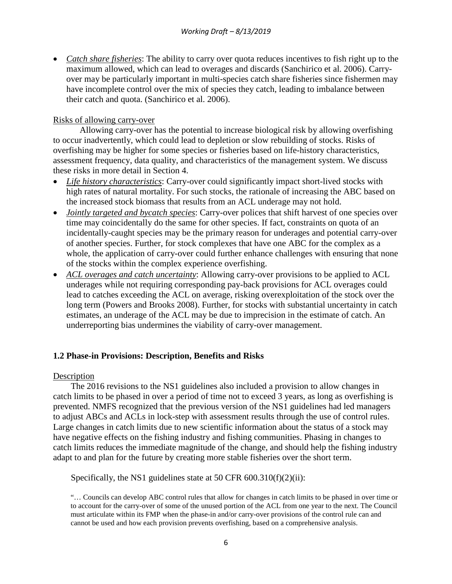• *Catch share fisheries*: The ability to carry over quota reduces incentives to fish right up to the maximum allowed, which can lead to overages and discards (Sanchirico et al. 2006). Carryover may be particularly important in multi-species catch share fisheries since fishermen may have incomplete control over the mix of species they catch, leading to imbalance between their catch and quota. (Sanchirico et al. 2006).

# Risks of allowing carry-over

Allowing carry-over has the potential to increase biological risk by allowing overfishing to occur inadvertently, which could lead to depletion or slow rebuilding of stocks. Risks of overfishing may be higher for some species or fisheries based on life-history characteristics, assessment frequency, data quality, and characteristics of the management system. We discuss these risks in more detail in Section 4.

- *Life history characteristics*: Carry-over could significantly impact short-lived stocks with high rates of natural mortality. For such stocks, the rationale of increasing the ABC based on the increased stock biomass that results from an ACL underage may not hold.
- *Jointly targeted and bycatch species*: Carry-over polices that shift harvest of one species over time may coincidentally do the same for other species. If fact, constraints on quota of an incidentally-caught species may be the primary reason for underages and potential carry-over of another species. Further, for stock complexes that have one ABC for the complex as a whole, the application of carry-over could further enhance challenges with ensuring that none of the stocks within the complex experience overfishing.
- *ACL overages and catch uncertainty*: Allowing carry-over provisions to be applied to ACL underages while not requiring corresponding pay-back provisions for ACL overages could lead to catches exceeding the ACL on average, risking overexploitation of the stock over the long term (Powers and Brooks 2008). Further, for stocks with substantial uncertainty in catch estimates, an underage of the ACL may be due to imprecision in the estimate of catch. An underreporting bias undermines the viability of carry-over management.

## **1.2 Phase-in Provisions: Description, Benefits and Risks**

## Description

The 2016 revisions to the NS1 guidelines also included a provision to allow changes in catch limits to be phased in over a period of time not to exceed 3 years, as long as overfishing is prevented. NMFS recognized that the previous version of the NS1 guidelines had led managers to adjust ABCs and ACLs in lock-step with assessment results through the use of control rules. Large changes in catch limits due to new scientific information about the status of a stock may have negative effects on the fishing industry and fishing communities. Phasing in changes to catch limits reduces the immediate magnitude of the change, and should help the fishing industry adapt to and plan for the future by creating more stable fisheries over the short term.

Specifically, the NS1 guidelines state at 50 CFR 600.310(f)(2)(ii):

<sup>&</sup>quot;… Councils can develop ABC control rules that allow for changes in catch limits to be phased in over time or to account for the carry-over of some of the unused portion of the ACL from one year to the next. The Council must articulate within its FMP when the phase-in and/or carry-over provisions of the control rule can and cannot be used and how each provision prevents overfishing, based on a comprehensive analysis.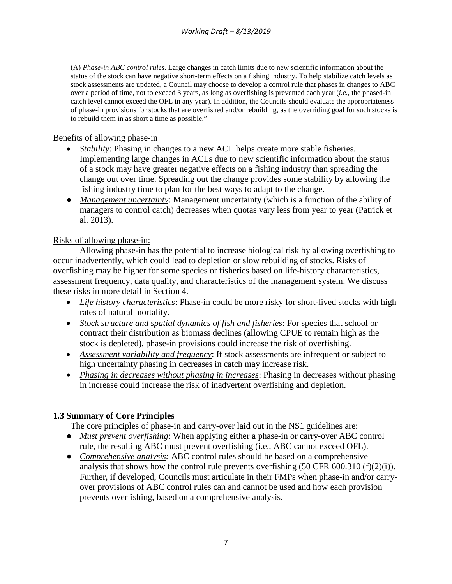(A) *Phase-in ABC control rules.* Large changes in catch limits due to new scientific information about the status of the stock can have negative short-term effects on a fishing industry. To help stabilize catch levels as stock assessments are updated, a Council may choose to develop a control rule that phases in changes to ABC over a period of time, not to exceed 3 years, as long as overfishing is prevented each year (*i.e.,* the phased-in catch level cannot exceed the OFL in any year). In addition, the Councils should evaluate the appropriateness of phase-in provisions for stocks that are overfished and/or rebuilding, as the overriding goal for such stocks is to rebuild them in as short a time as possible."

### Benefits of allowing phase-in

- *Stability*: Phasing in changes to a new ACL helps create more stable fisheries. Implementing large changes in ACLs due to new scientific information about the status of a stock may have greater negative effects on a fishing industry than spreading the change out over time. Spreading out the change provides some stability by allowing the fishing industry time to plan for the best ways to adapt to the change.
- *Management uncertainty*: Management uncertainty (which is a function of the ability of managers to control catch) decreases when quotas vary less from year to year (Patrick et al. 2013).

## Risks of allowing phase-in:

Allowing phase-in has the potential to increase biological risk by allowing overfishing to occur inadvertently, which could lead to depletion or slow rebuilding of stocks. Risks of overfishing may be higher for some species or fisheries based on life-history characteristics, assessment frequency, data quality, and characteristics of the management system. We discuss these risks in more detail in Section 4.

- *Life history characteristics*: Phase-in could be more risky for short-lived stocks with high rates of natural mortality.
- *Stock structure and spatial dynamics of fish and fisheries*: For species that school or contract their distribution as biomass declines (allowing CPUE to remain high as the stock is depleted), phase-in provisions could increase the risk of overfishing.
- *Assessment variability and frequency*: If stock assessments are infrequent or subject to high uncertainty phasing in decreases in catch may increase risk.
- *Phasing in decreases without phasing in increases*: Phasing in decreases without phasing in increase could increase the risk of inadvertent overfishing and depletion.

## **1.3 Summary of Core Principles**

The core principles of phase-in and carry-over laid out in the NS1 guidelines are:

- *Must prevent overfishing*: When applying either a phase-in or carry-over ABC control rule, the resulting ABC must prevent overfishing (i.e., ABC cannot exceed OFL).
- *Comprehensive analysis:* ABC control rules should be based on a comprehensive analysis that shows how the control rule prevents overfishing  $(50 \text{ CFR } 600.310 \text{ (f)}(2)(i))$ . Further, if developed, Councils must articulate in their FMPs when phase-in and/or carryover provisions of ABC control rules can and cannot be used and how each provision prevents overfishing, based on a comprehensive analysis.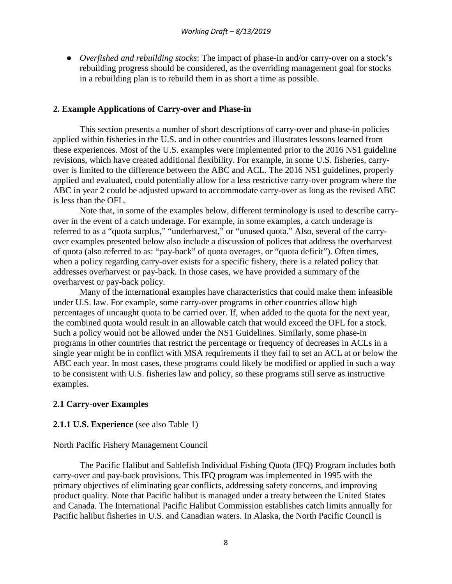● *Overfished and rebuilding stocks*: The impact of phase-in and/or carry-over on a stock's rebuilding progress should be considered, as the overriding management goal for stocks in a rebuilding plan is to rebuild them in as short a time as possible.

### **2. Example Applications of Carry-over and Phase-in**

This section presents a number of short descriptions of carry-over and phase-in policies applied within fisheries in the U.S. and in other countries and illustrates lessons learned from these experiences. Most of the U.S. examples were implemented prior to the 2016 NS1 guideline revisions, which have created additional flexibility. For example, in some U.S. fisheries, carryover is limited to the difference between the ABC and ACL. The 2016 NS1 guidelines, properly applied and evaluated, could potentially allow for a less restrictive carry-over program where the ABC in year 2 could be adjusted upward to accommodate carry-over as long as the revised ABC is less than the OFL.

Note that, in some of the examples below, different terminology is used to describe carryover in the event of a catch underage. For example, in some examples, a catch underage is referred to as a "quota surplus," "underharvest," or "unused quota." Also, several of the carryover examples presented below also include a discussion of polices that address the overharvest of quota (also referred to as: "pay-back" of quota overages, or "quota deficit"). Often times, when a policy regarding carry-over exists for a specific fishery, there is a related policy that addresses overharvest or pay-back. In those cases, we have provided a summary of the overharvest or pay-back policy.

Many of the international examples have characteristics that could make them infeasible under U.S. law. For example, some carry-over programs in other countries allow high percentages of uncaught quota to be carried over. If, when added to the quota for the next year, the combined quota would result in an allowable catch that would exceed the OFL for a stock. Such a policy would not be allowed under the NS1 Guidelines. Similarly, some phase-in programs in other countries that restrict the percentage or frequency of decreases in ACLs in a single year might be in conflict with MSA requirements if they fail to set an ACL at or below the ABC each year. In most cases, these programs could likely be modified or applied in such a way to be consistent with U.S. fisheries law and policy, so these programs still serve as instructive examples.

### **2.1 Carry-over Examples**

### **2.1.1 U.S. Experience** (see also Table 1)

#### North Pacific Fishery Management Council

The Pacific Halibut and Sablefish Individual Fishing Quota (IFQ) Program includes both carry-over and pay-back provisions. This IFQ program was implemented in 1995 with the primary objectives of eliminating gear conflicts, addressing safety concerns, and improving product quality. Note that Pacific halibut is managed under a treaty between the United States and Canada. The International Pacific Halibut Commission establishes catch limits annually for Pacific halibut fisheries in U.S. and Canadian waters. In Alaska, the North Pacific Council is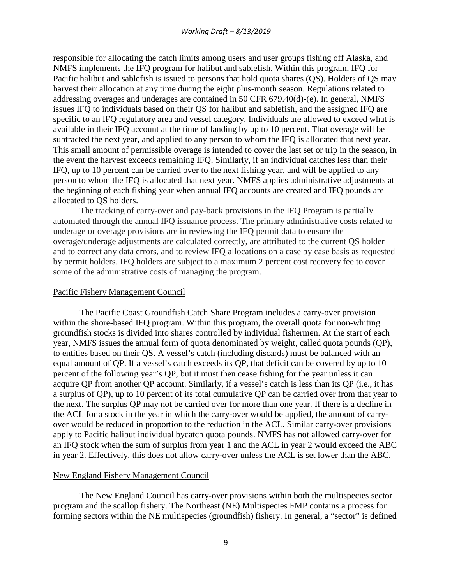responsible for allocating the catch limits among users and user groups fishing off Alaska, and NMFS implements the IFQ program for halibut and sablefish. Within this program, IFQ for Pacific halibut and sablefish is issued to persons that hold quota shares (QS). Holders of QS may harvest their allocation at any time during the eight plus-month season. Regulations related to addressing overages and underages are contained in 50 CFR 679.40(d)-(e). In general, NMFS issues IFQ to individuals based on their QS for halibut and sablefish, and the assigned IFQ are specific to an IFQ regulatory area and vessel category. Individuals are allowed to exceed what is available in their IFQ account at the time of landing by up to 10 percent. That overage will be subtracted the next year, and applied to any person to whom the IFQ is allocated that next year. This small amount of permissible overage is intended to cover the last set or trip in the season, in the event the harvest exceeds remaining IFQ. Similarly, if an individual catches less than their IFQ, up to 10 percent can be carried over to the next fishing year, and will be applied to any person to whom the IFQ is allocated that next year. NMFS applies administrative adjustments at the beginning of each fishing year when annual IFQ accounts are created and IFQ pounds are allocated to QS holders.

The tracking of carry-over and pay-back provisions in the IFQ Program is partially automated through the annual IFQ issuance process. The primary administrative costs related to underage or overage provisions are in reviewing the IFQ permit data to ensure the overage/underage adjustments are calculated correctly, are attributed to the current QS holder and to correct any data errors, and to review IFQ allocations on a case by case basis as requested by permit holders. IFQ holders are subject to a maximum 2 percent cost recovery fee to cover some of the administrative costs of managing the program.

#### Pacific Fishery Management Council

The Pacific Coast Groundfish Catch Share Program includes a carry-over provision within the shore-based IFQ program. Within this program, the overall quota for non-whiting groundfish stocks is divided into shares controlled by individual fishermen. At the start of each year, NMFS issues the annual form of quota denominated by weight, called quota pounds (QP), to entities based on their QS. A vessel's catch (including discards) must be balanced with an equal amount of QP. If a vessel's catch exceeds its QP, that deficit can be covered by up to 10 percent of the following year's QP, but it must then cease fishing for the year unless it can acquire QP from another QP account. Similarly, if a vessel's catch is less than its QP (i.e., it has a surplus of QP), up to 10 percent of its total cumulative QP can be carried over from that year to the next. The surplus QP may not be carried over for more than one year. If there is a decline in the ACL for a stock in the year in which the carry-over would be applied, the amount of carryover would be reduced in proportion to the reduction in the ACL. Similar carry-over provisions apply to Pacific halibut individual bycatch quota pounds. NMFS has not allowed carry-over for an IFQ stock when the sum of surplus from year 1 and the ACL in year 2 would exceed the ABC in year 2. Effectively, this does not allow carry-over unless the ACL is set lower than the ABC.

#### New England Fishery Management Council

The New England Council has carry-over provisions within both the multispecies sector program and the scallop fishery. The Northeast (NE) Multispecies FMP contains a process for forming sectors within the NE multispecies (groundfish) fishery. In general, a "sector" is defined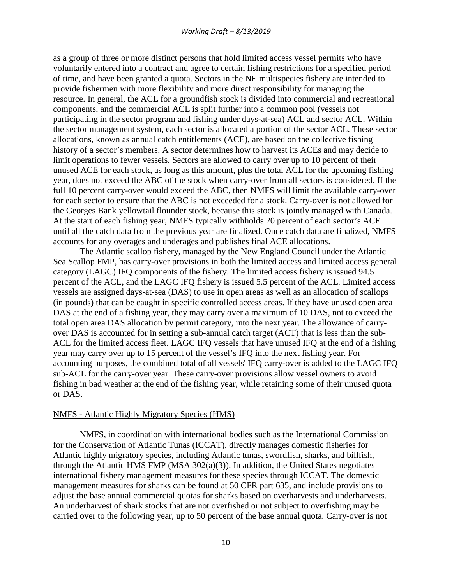as a group of three or more distinct persons that hold limited access vessel permits who have voluntarily entered into a contract and agree to certain fishing restrictions for a specified period of time, and have been granted a quota. Sectors in the NE multispecies fishery are intended to provide fishermen with more flexibility and more direct responsibility for managing the resource. In general, the ACL for a groundfish stock is divided into commercial and recreational components, and the commercial ACL is split further into a common pool (vessels not participating in the sector program and fishing under days-at-sea) ACL and sector ACL. Within the sector management system, each sector is allocated a portion of the sector ACL. These sector allocations, known as annual catch entitlements (ACE), are based on the collective fishing history of a sector's members. A sector determines how to harvest its ACEs and may decide to limit operations to fewer vessels. Sectors are allowed to carry over up to 10 percent of their unused ACE for each stock, as long as this amount, plus the total ACL for the upcoming fishing year, does not exceed the ABC of the stock when carry-over from all sectors is considered. If the full 10 percent carry-over would exceed the ABC, then NMFS will limit the available carry-over for each sector to ensure that the ABC is not exceeded for a stock. Carry-over is not allowed for the Georges Bank yellowtail flounder stock, because this stock is jointly managed with Canada. At the start of each fishing year, NMFS typically withholds 20 percent of each sector's ACE until all the catch data from the previous year are finalized. Once catch data are finalized, NMFS accounts for any overages and underages and publishes final ACE allocations.

The Atlantic scallop fishery, managed by the New England Council under the Atlantic Sea Scallop FMP, has carry-over provisions in both the limited access and limited access general category (LAGC) IFQ components of the fishery. The limited access fishery is issued 94.5 percent of the ACL, and the LAGC IFQ fishery is issued 5.5 percent of the ACL. Limited access vessels are assigned days-at-sea (DAS) to use in open areas as well as an allocation of scallops (in pounds) that can be caught in specific controlled access areas. If they have unused open area DAS at the end of a fishing year, they may carry over a maximum of 10 DAS, not to exceed the total open area DAS allocation by permit category, into the next year. The allowance of carryover DAS is accounted for in setting a sub-annual catch target (ACT) that is less than the sub-ACL for the limited access fleet. LAGC IFQ vessels that have unused IFQ at the end of a fishing year may carry over up to 15 percent of the vessel's IFQ into the next fishing year. For accounting purposes, the combined total of all vessels' IFQ carry-over is added to the LAGC IFQ sub-ACL for the carry-over year. These carry-over provisions allow vessel owners to avoid fishing in bad weather at the end of the fishing year, while retaining some of their unused quota or DAS.

#### NMFS - Atlantic Highly Migratory Species (HMS)

NMFS, in coordination with international bodies such as the International Commission for the Conservation of Atlantic Tunas (ICCAT), directly manages domestic fisheries for Atlantic highly migratory species, including Atlantic tunas, swordfish, sharks, and billfish, through the Atlantic HMS FMP (MSA 302(a)(3)). In addition, the United States negotiates international fishery management measures for these species through ICCAT. The domestic management measures for sharks can be found at 50 CFR part 635, and include provisions to adjust the base annual commercial quotas for sharks based on overharvests and underharvests. An underharvest of shark stocks that are not overfished or not subject to overfishing may be carried over to the following year, up to 50 percent of the base annual quota. Carry-over is not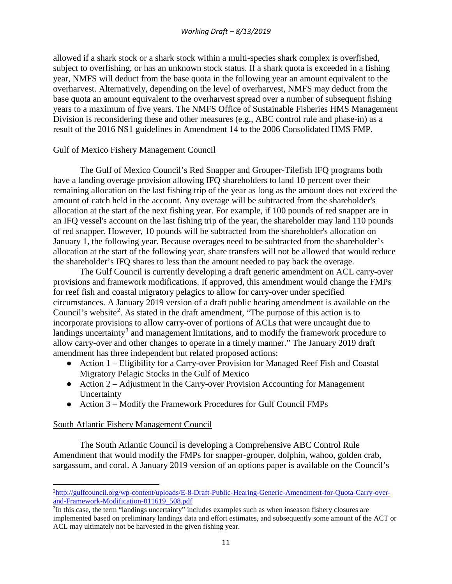allowed if a shark stock or a shark stock within a multi-species shark complex is overfished, subject to overfishing, or has an unknown stock status. If a shark quota is exceeded in a fishing year, NMFS will deduct from the base quota in the following year an amount equivalent to the overharvest. Alternatively, depending on the level of overharvest, NMFS may deduct from the base quota an amount equivalent to the overharvest spread over a number of subsequent fishing years to a maximum of five years. The NMFS Office of Sustainable Fisheries HMS Management Division is reconsidering these and other measures (e.g., ABC control rule and phase-in) as a result of the 2016 NS1 guidelines in Amendment 14 to the 2006 Consolidated HMS FMP.

## Gulf of Mexico Fishery Management Council

The Gulf of Mexico Council's Red Snapper and Grouper-Tilefish IFQ programs both have a landing overage provision allowing IFQ shareholders to land 10 percent over their remaining allocation on the last fishing trip of the year as long as the amount does not exceed the amount of catch held in the account. Any overage will be subtracted from the shareholder's allocation at the start of the next fishing year. For example, if 100 pounds of red snapper are in an IFQ vessel's account on the last fishing trip of the year, the shareholder may land 110 pounds of red snapper. However, 10 pounds will be subtracted from the shareholder's allocation on January 1, the following year. Because overages need to be subtracted from the shareholder's allocation at the start of the following year, share transfers will not be allowed that would reduce the shareholder's IFQ shares to less than the amount needed to pay back the overage.

The Gulf Council is currently developing a draft generic amendment on ACL carry-over provisions and framework modifications. If approved, this amendment would change the FMPs for reef fish and coastal migratory pelagics to allow for carry-over under specified circumstances. A January 2019 version of a draft public hearing amendment is available on the Council's website<sup>[2](#page-11-0)</sup>. As stated in the draft amendment, "The purpose of this action is to incorporate provisions to allow carry-over of portions of ACLs that were uncaught due to landings uncertainty<sup>[3](#page-11-1)</sup> and management limitations, and to modify the framework procedure to allow carry-over and other changes to operate in a timely manner." The January 2019 draft amendment has three independent but related proposed actions:

- Action 1 Eligibility for a Carry-over Provision for Managed Reef Fish and Coastal Migratory Pelagic Stocks in the Gulf of Mexico
- Action 2 Adjustment in the Carry-over Provision Accounting for Management **Uncertainty**
- Action 3 Modify the Framework Procedures for Gulf Council FMPs

## South Atlantic Fishery Management Council

 $\overline{\phantom{a}}$ 

The South Atlantic Council is developing a Comprehensive ABC Control Rule Amendment that would modify the FMPs for snapper-grouper, dolphin, wahoo, golden crab, sargassum, and coral. A January 2019 version of an options paper is available on the Council's

<span id="page-11-0"></span><sup>2</sup> [http://gulfcouncil.org/wp-content/uploads/E-8-Draft-Public-Hearing-Generic-Amendment-for-Quota-Carry-over](http://gulfcouncil.org/wp-content/uploads/E-8-Draft-Public-Hearing-Generic-Amendment-for-Quota-Carryover-and-Framework-Modification-011619_508.pdf)[and-Framework-Modification-011619\\_508.pdf](http://gulfcouncil.org/wp-content/uploads/E-8-Draft-Public-Hearing-Generic-Amendment-for-Quota-Carryover-and-Framework-Modification-011619_508.pdf)

<span id="page-11-1"></span><sup>&</sup>lt;sup>3</sup>In this case, the term "landings uncertainty" includes examples such as when inseason fishery closures are implemented based on preliminary landings data and effort estimates, and subsequently some amount of the ACT or ACL may ultimately not be harvested in the given fishing year.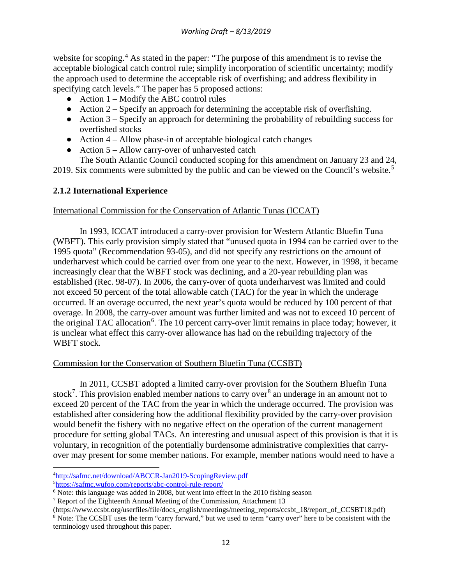website for scoping.<sup>[4](#page-12-0)</sup> As stated in the paper: "The purpose of this amendment is to revise the acceptable biological catch control rule; simplify incorporation of scientific uncertainty; modify the approach used to determine the acceptable risk of overfishing; and address flexibility in specifying catch levels." The paper has 5 proposed actions:

- $\bullet$  Action 1 Modify the ABC control rules
- $\bullet$  Action 2 Specify an approach for determining the acceptable risk of overfishing.
- $\bullet$  Action 3 Specify an approach for determining the probability of rebuilding success for overfished stocks
- $\bullet$  Action 4 Allow phase-in of acceptable biological catch changes
- $\bullet$  Action 5 Allow carry-over of unharvested catch

The South Atlantic Council conducted scoping for this amendment on January 23 and 24, 2019. Six comments were submitted by the public and can be viewed on the Council's website.<sup>[5](#page-12-1)</sup>

# **2.1.2 International Experience**

## International Commission for the Conservation of Atlantic Tunas (ICCAT)

In 1993, ICCAT introduced a carry-over provision for Western Atlantic Bluefin Tuna (WBFT). This early provision simply stated that "unused quota in 1994 can be carried over to the 1995 quota" (Recommendation 93-05), and did not specify any restrictions on the amount of underharvest which could be carried over from one year to the next. However, in 1998, it became increasingly clear that the WBFT stock was declining, and a 20-year rebuilding plan was established (Rec. 98-07). In 2006, the carry-over of quota underharvest was limited and could not exceed 50 percent of the total allowable catch (TAC) for the year in which the underage occurred. If an overage occurred, the next year's quota would be reduced by 100 percent of that overage. In 2008, the carry-over amount was further limited and was not to exceed 10 percent of the original TAC allocation<sup>[6](#page-12-2)</sup>. The 10 percent carry-over limit remains in place today; however, it is unclear what effect this carry-over allowance has had on the rebuilding trajectory of the WBFT stock.

## Commission for the Conservation of Southern Bluefin Tuna (CCSBT)

In 2011, CCSBT adopted a limited carry-over provision for the Southern Bluefin Tuna stock<sup>[7](#page-12-3)</sup>. This provision enabled member nations to carry over<sup>[8](#page-12-4)</sup> an underage in an amount not to exceed 20 percent of the TAC from the year in which the underage occurred. The provision was established after considering how the additional flexibility provided by the carry-over provision would benefit the fishery with no negative effect on the operation of the current management procedure for setting global TACs. An interesting and unusual aspect of this provision is that it is voluntary, in recognition of the potentially burdensome administrative complexities that carryover may present for some member nations. For example, member nations would need to have a

l

<span id="page-12-0"></span><sup>4</sup> <http://safmc.net/download/ABCCR-Jan2019-ScopingReview.pdf>

<span id="page-12-1"></span><sup>5</sup> <https://safmc.wufoo.com/reports/abc-control-rule-report/>

<span id="page-12-2"></span> $6$  Note: this language was added in 2008, but went into effect in the 2010 fishing season

<span id="page-12-3"></span><sup>&</sup>lt;sup>7</sup> Report of the Eighteenth Annual Meeting of the Commission, Attachment 13

<span id="page-12-4"></span><sup>(</sup>https://www.ccsbt.org/userfiles/file/docs\_english/meetings/meeting\_reports/ccsbt\_18/report\_of\_CCSBT18.pdf) <sup>8</sup> Note: The CCSBT uses the term "carry forward," but we used to term "carry over" here to be consistent with the terminology used throughout this paper.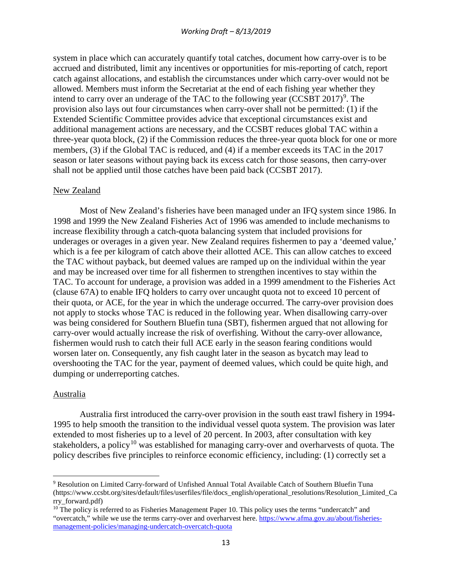system in place which can accurately quantify total catches, document how carry-over is to be accrued and distributed, limit any incentives or opportunities for mis-reporting of catch, report catch against allocations, and establish the circumstances under which carry-over would not be allowed. Members must inform the Secretariat at the end of each fishing year whether they intend to carry over an underage of the TAC to the following year  $(CCSBT 2017)^9$  $(CCSBT 2017)^9$ . The provision also lays out four circumstances when carry-over shall not be permitted: (1) if the Extended Scientific Committee provides advice that exceptional circumstances exist and additional management actions are necessary, and the CCSBT reduces global TAC within a three-year quota block, (2) if the Commission reduces the three-year quota block for one or more members, (3) if the Global TAC is reduced, and (4) if a member exceeds its TAC in the 2017 season or later seasons without paying back its excess catch for those seasons, then carry-over shall not be applied until those catches have been paid back (CCSBT 2017).

#### New Zealand

Most of New Zealand's fisheries have been managed under an IFQ system since 1986. In 1998 and 1999 the New Zealand Fisheries Act of 1996 was amended to include mechanisms to increase flexibility through a catch-quota balancing system that included provisions for underages or overages in a given year. New Zealand requires fishermen to pay a 'deemed value,' which is a fee per kilogram of catch above their allotted ACE. This can allow catches to exceed the TAC without payback, but deemed values are ramped up on the individual within the year and may be increased over time for all fishermen to strengthen incentives to stay within the TAC. To account for underage, a provision was added in a 1999 amendment to the Fisheries Act (clause 67A) to enable IFQ holders to carry over uncaught quota not to exceed 10 percent of their quota, or ACE, for the year in which the underage occurred. The carry-over provision does not apply to stocks whose TAC is reduced in the following year. When disallowing carry-over was being considered for Southern Bluefin tuna (SBT), fishermen argued that not allowing for carry-over would actually increase the risk of overfishing. Without the carry-over allowance, fishermen would rush to catch their full ACE early in the season fearing conditions would worsen later on. Consequently, any fish caught later in the season as bycatch may lead to overshooting the TAC for the year, payment of deemed values, which could be quite high, and dumping or underreporting catches.

### Australia

 $\overline{\phantom{a}}$ 

Australia first introduced the carry-over provision in the south east trawl fishery in 1994- 1995 to help smooth the transition to the individual vessel quota system. The provision was later extended to most fisheries up to a level of 20 percent. In 2003, after consultation with key stakeholders, a policy<sup>[10](#page-13-1)</sup> was established for managing carry-over and overharvests of quota. The policy describes five principles to reinforce economic efficiency, including: (1) correctly set a

<span id="page-13-0"></span><sup>9</sup> Resolution on Limited Carry-forward of Unfished Annual Total Available Catch of Southern Bluefin Tuna (https://www.ccsbt.org/sites/default/files/userfiles/file/docs\_english/operational\_resolutions/Resolution\_Limited\_Ca rry\_forward.pdf)

<span id="page-13-1"></span> $10$  The policy is referred to as Fisheries Management Paper 10. This policy uses the terms "undercatch" and "overcatch," while we use the terms carry-over and overharvest here. [https://www.afma.gov.au/about/fisheries](https://www.afma.gov.au/about/fisheries-management-policies/managing-undercatch-overcatch-quota)[management-policies/managing-undercatch-overcatch-quota](https://www.afma.gov.au/about/fisheries-management-policies/managing-undercatch-overcatch-quota)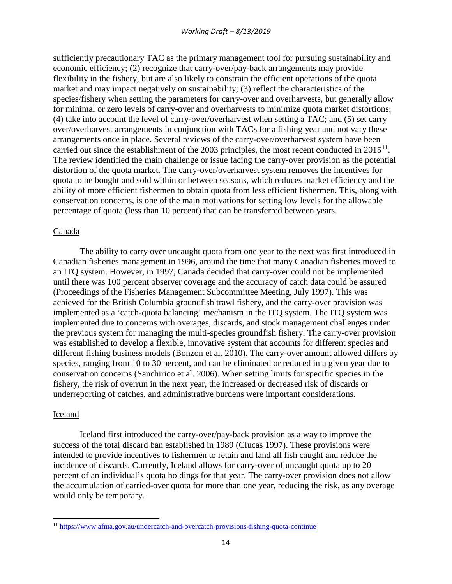sufficiently precautionary TAC as the primary management tool for pursuing sustainability and economic efficiency; (2) recognize that carry-over/pay-back arrangements may provide flexibility in the fishery, but are also likely to constrain the efficient operations of the quota market and may impact negatively on sustainability; (3) reflect the characteristics of the species/fishery when setting the parameters for carry-over and overharvests, but generally allow for minimal or zero levels of carry-over and overharvests to minimize quota market distortions; (4) take into account the level of carry-over/overharvest when setting a TAC; and (5) set carry over/overharvest arrangements in conjunction with TACs for a fishing year and not vary these arrangements once in place. Several reviews of the carry-over/overharvest system have been carried out since the establishment of the 2003 principles, the most recent conducted in  $2015^{11}$ . The review identified the main challenge or issue facing the carry-over provision as the potential distortion of the quota market. The carry-over/overharvest system removes the incentives for quota to be bought and sold within or between seasons, which reduces market efficiency and the ability of more efficient fishermen to obtain quota from less efficient fishermen. This, along with conservation concerns, is one of the main motivations for setting low levels for the allowable percentage of quota (less than 10 percent) that can be transferred between years.

### Canada

The ability to carry over uncaught quota from one year to the next was first introduced in Canadian fisheries management in 1996, around the time that many Canadian fisheries moved to an ITQ system. However, in 1997, Canada decided that carry-over could not be implemented until there was 100 percent observer coverage and the accuracy of catch data could be assured (Proceedings of the Fisheries Management Subcommittee Meeting, July 1997). This was achieved for the British Columbia groundfish trawl fishery, and the carry-over provision was implemented as a 'catch-quota balancing' mechanism in the ITQ system. The ITQ system was implemented due to concerns with overages, discards, and stock management challenges under the previous system for managing the multi-species groundfish fishery. The carry-over provision was established to develop a flexible, innovative system that accounts for different species and different fishing business models (Bonzon et al. 2010). The carry-over amount allowed differs by species, ranging from 10 to 30 percent, and can be eliminated or reduced in a given year due to conservation concerns (Sanchirico et al. 2006). When setting limits for specific species in the fishery, the risk of overrun in the next year, the increased or decreased risk of discards or underreporting of catches, and administrative burdens were important considerations.

### Iceland

l

Iceland first introduced the carry-over/pay-back provision as a way to improve the success of the total discard ban established in 1989 (Clucas 1997). These provisions were intended to provide incentives to fishermen to retain and land all fish caught and reduce the incidence of discards. Currently, Iceland allows for carry-over of uncaught quota up to 20 percent of an individual's quota holdings for that year. The carry-over provision does not allow the accumulation of carried-over quota for more than one year, reducing the risk, as any overage would only be temporary.

<span id="page-14-0"></span><sup>11</sup> <https://www.afma.gov.au/undercatch-and-overcatch-provisions-fishing-quota-continue>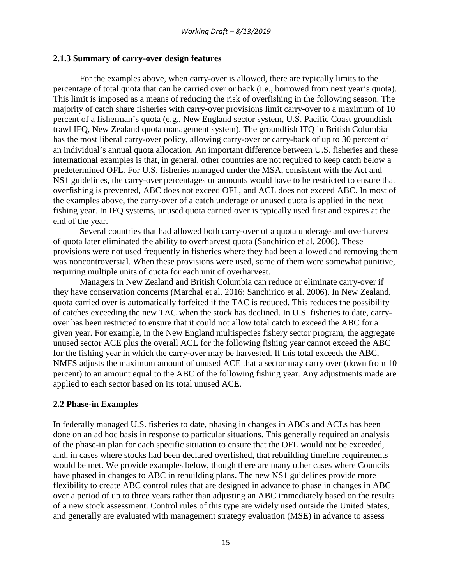### **2.1.3 Summary of carry-over design features**

For the examples above, when carry-over is allowed, there are typically limits to the percentage of total quota that can be carried over or back (i.e., borrowed from next year's quota). This limit is imposed as a means of reducing the risk of overfishing in the following season. The majority of catch share fisheries with carry-over provisions limit carry-over to a maximum of 10 percent of a fisherman's quota (e.g., New England sector system, U.S. Pacific Coast groundfish trawl IFQ, New Zealand quota management system). The groundfish ITQ in British Columbia has the most liberal carry-over policy, allowing carry-over or carry-back of up to 30 percent of an individual's annual quota allocation. An important difference between U.S. fisheries and these international examples is that, in general, other countries are not required to keep catch below a predetermined OFL. For U.S. fisheries managed under the MSA, consistent with the Act and NS1 guidelines, the carry-over percentages or amounts would have to be restricted to ensure that overfishing is prevented, ABC does not exceed OFL, and ACL does not exceed ABC. In most of the examples above, the carry-over of a catch underage or unused quota is applied in the next fishing year. In IFQ systems, unused quota carried over is typically used first and expires at the end of the year.

Several countries that had allowed both carry-over of a quota underage and overharvest of quota later eliminated the ability to overharvest quota (Sanchirico et al. 2006). These provisions were not used frequently in fisheries where they had been allowed and removing them was noncontroversial. When these provisions were used, some of them were somewhat punitive, requiring multiple units of quota for each unit of overharvest.

Managers in New Zealand and British Columbia can reduce or eliminate carry-over if they have conservation concerns (Marchal et al. 2016; Sanchirico et al. 2006). In New Zealand, quota carried over is automatically forfeited if the TAC is reduced. This reduces the possibility of catches exceeding the new TAC when the stock has declined. In U.S. fisheries to date, carryover has been restricted to ensure that it could not allow total catch to exceed the ABC for a given year. For example, in the New England multispecies fishery sector program, the aggregate unused sector ACE plus the overall ACL for the following fishing year cannot exceed the ABC for the fishing year in which the carry-over may be harvested. If this total exceeds the ABC, NMFS adjusts the maximum amount of unused ACE that a sector may carry over (down from 10 percent) to an amount equal to the ABC of the following fishing year. Any adjustments made are applied to each sector based on its total unused ACE.

### **2.2 Phase-in Examples**

In federally managed U.S. fisheries to date, phasing in changes in ABCs and ACLs has been done on an ad hoc basis in response to particular situations. This generally required an analysis of the phase-in plan for each specific situation to ensure that the OFL would not be exceeded, and, in cases where stocks had been declared overfished, that rebuilding timeline requirements would be met. We provide examples below, though there are many other cases where Councils have phased in changes to ABC in rebuilding plans. The new NS1 guidelines provide more flexibility to create ABC control rules that are designed in advance to phase in changes in ABC over a period of up to three years rather than adjusting an ABC immediately based on the results of a new stock assessment. Control rules of this type are widely used outside the United States, and generally are evaluated with management strategy evaluation (MSE) in advance to assess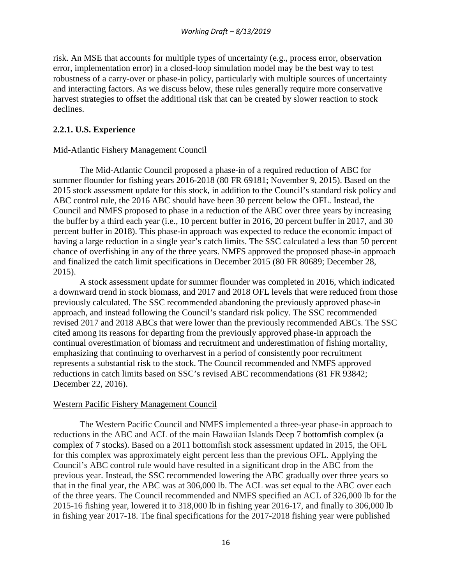risk. An MSE that accounts for multiple types of uncertainty (e.g., process error, observation error, implementation error) in a closed-loop simulation model may be the best way to test robustness of a carry-over or phase-in policy, particularly with multiple sources of uncertainty and interacting factors. As we discuss below, these rules generally require more conservative harvest strategies to offset the additional risk that can be created by slower reaction to stock declines.

## **2.2.1. U.S. Experience**

### Mid-Atlantic Fishery Management Council

The Mid-Atlantic Council proposed a phase-in of a required reduction of ABC for summer flounder for fishing years 2016-2018 (80 FR 69181; November 9, 2015). Based on the 2015 stock assessment update for this stock, in addition to the Council's standard risk policy and ABC control rule, the 2016 ABC should have been 30 percent below the OFL. Instead, the Council and NMFS proposed to phase in a reduction of the ABC over three years by increasing the buffer by a third each year (i.e., 10 percent buffer in 2016, 20 percent buffer in 2017, and 30 percent buffer in 2018). This phase-in approach was expected to reduce the economic impact of having a large reduction in a single year's catch limits. The SSC calculated a less than 50 percent chance of overfishing in any of the three years. NMFS approved the proposed phase-in approach and finalized the catch limit specifications in December 2015 (80 FR 80689; December 28, 2015).

A stock assessment update for summer flounder was completed in 2016, which indicated a downward trend in stock biomass, and 2017 and 2018 OFL levels that were reduced from those previously calculated. The SSC recommended abandoning the previously approved phase-in approach, and instead following the Council's standard risk policy. The SSC recommended revised 2017 and 2018 ABCs that were lower than the previously recommended ABCs. The SSC cited among its reasons for departing from the previously approved phase-in approach the continual overestimation of biomass and recruitment and underestimation of fishing mortality, emphasizing that continuing to overharvest in a period of consistently poor recruitment represents a substantial risk to the stock. The Council recommended and NMFS approved reductions in catch limits based on SSC's revised ABC recommendations (81 FR 93842; December 22, 2016).

### Western Pacific Fishery Management Council

The Western Pacific Council and NMFS implemented a three-year phase-in approach to reductions in the ABC and ACL of the main Hawaiian Islands Deep 7 bottomfish complex (a complex of 7 stocks). Based on a 2011 bottomfish stock assessment updated in 2015, the OFL for this complex was approximately eight percent less than the previous OFL. Applying the Council's ABC control rule would have resulted in a significant drop in the ABC from the previous year. Instead, the SSC recommended lowering the ABC gradually over three years so that in the final year, the ABC was at 306,000 lb. The ACL was set equal to the ABC over each of the three years. The Council recommended and NMFS specified an ACL of 326,000 lb for the 2015-16 fishing year, lowered it to 318,000 lb in fishing year 2016-17, and finally to 306,000 lb in fishing year 2017-18. The final specifications for the 2017-2018 fishing year were published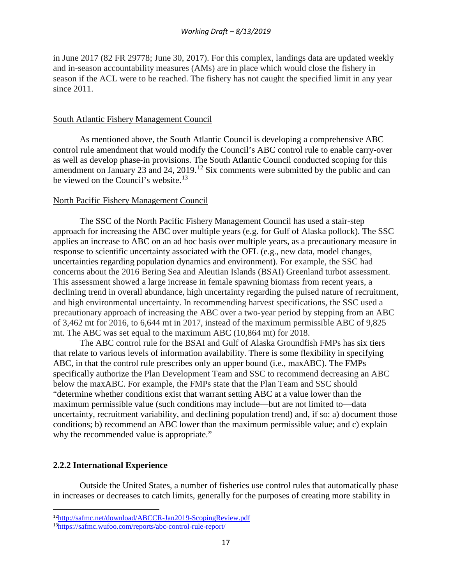in June 2017 (82 FR 29778; June 30, 2017). For this complex, landings data are updated weekly and in-season accountability measures (AMs) are in place which would close the fishery in season if the ACL were to be reached. The fishery has not caught the specified limit in any year since 2011.

### South Atlantic Fishery Management Council

As mentioned above, the South Atlantic Council is developing a comprehensive ABC control rule amendment that would modify the Council's ABC control rule to enable carry-over as well as develop phase-in provisions. The South Atlantic Council conducted scoping for this amendment on January 23 and 24, 2019.<sup>[12](#page-17-0)</sup> Six comments were submitted by the public and can be viewed on the Council's website.<sup>[13](#page-17-1)</sup>

### North Pacific Fishery Management Council

The SSC of the North Pacific Fishery Management Council has used a stair-step approach for increasing the ABC over multiple years (e.g. for Gulf of Alaska pollock). The SSC applies an increase to ABC on an ad hoc basis over multiple years, as a precautionary measure in response to scientific uncertainty associated with the OFL (e.g., new data, model changes, uncertainties regarding population dynamics and environment). For example, the SSC had concerns about the 2016 Bering Sea and Aleutian Islands (BSAI) Greenland turbot assessment. This assessment showed a large increase in female spawning biomass from recent years, a declining trend in overall abundance, high uncertainty regarding the pulsed nature of recruitment, and high environmental uncertainty. In recommending harvest specifications, the SSC used a precautionary approach of increasing the ABC over a two-year period by stepping from an ABC of 3,462 mt for 2016, to 6,644 mt in 2017, instead of the maximum permissible ABC of 9,825 mt. The ABC was set equal to the maximum ABC (10,864 mt) for 2018.

The ABC control rule for the BSAI and Gulf of Alaska Groundfish FMPs has six tiers that relate to various levels of information availability. There is some flexibility in specifying ABC, in that the control rule prescribes only an upper bound (i.e., maxABC). The FMPs specifically authorize the Plan Development Team and SSC to recommend decreasing an ABC below the maxABC. For example, the FMPs state that the Plan Team and SSC should "determine whether conditions exist that warrant setting ABC at a value lower than the maximum permissible value (such conditions may include—but are not limited to—data uncertainty, recruitment variability, and declining population trend) and, if so: a) document those conditions; b) recommend an ABC lower than the maximum permissible value; and c) explain why the recommended value is appropriate."

### **2.2.2 International Experience**

Outside the United States, a number of fisheries use control rules that automatically phase in increases or decreases to catch limits, generally for the purposes of creating more stability in

<span id="page-17-0"></span> <sup>12</sup><http://safmc.net/download/ABCCR-Jan2019-ScopingReview.pdf>

<span id="page-17-1"></span><sup>1</sup>[3https://safmc.wufoo.com/reports/abc-control-rule-report/](https://safmc.wufoo.com/reports/abc-control-rule-report/)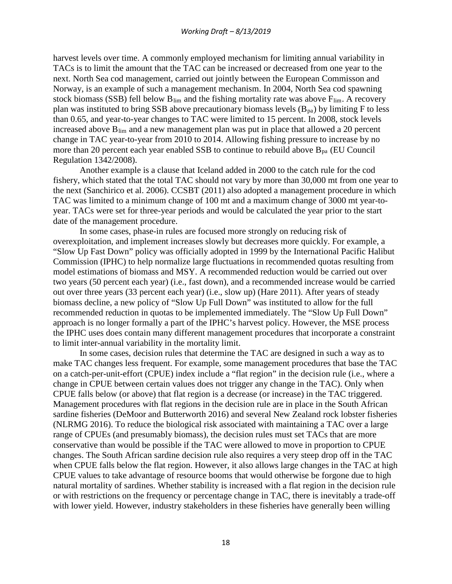harvest levels over time. A commonly employed mechanism for limiting annual variability in TACs is to limit the amount that the TAC can be increased or decreased from one year to the next. North Sea cod management, carried out jointly between the European Commisson and Norway, is an example of such a management mechanism. In 2004, North Sea cod spawning stock biomass (SSB) fell below  $B_{\text{lim}}$  and the fishing mortality rate was above  $F_{\text{lim}}$ . A recovery plan was instituted to bring SSB above precautionary biomass levels  $(B_{pa})$  by limiting F to less than 0.65, and year-to-year changes to TAC were limited to 15 percent. In 2008, stock levels increased above  $B_{lim}$  and a new management plan was put in place that allowed a 20 percent change in TAC year-to-year from 2010 to 2014. Allowing fishing pressure to increase by no more than 20 percent each year enabled SSB to continue to rebuild above  $B_{pa}$  (EU Council Regulation 1342/2008).

Another example is a clause that Iceland added in 2000 to the catch rule for the cod fishery, which stated that the total TAC should not vary by more than 30,000 mt from one year to the next (Sanchirico et al. 2006). CCSBT (2011) also adopted a management procedure in which TAC was limited to a minimum change of 100 mt and a maximum change of 3000 mt year-toyear. TACs were set for three-year periods and would be calculated the year prior to the start date of the management procedure.

In some cases, phase-in rules are focused more strongly on reducing risk of overexploitation, and implement increases slowly but decreases more quickly. For example, a "Slow Up Fast Down" policy was officially adopted in 1999 by the International Pacific Halibut Commission (IPHC) to help normalize large fluctuations in recommended quotas resulting from model estimations of biomass and MSY. A recommended reduction would be carried out over two years (50 percent each year) (i.e., fast down), and a recommended increase would be carried out over three years (33 percent each year) (i.e., slow up) (Hare 2011). After years of steady biomass decline, a new policy of "Slow Up Full Down" was instituted to allow for the full recommended reduction in quotas to be implemented immediately. The "Slow Up Full Down" approach is no longer formally a part of the IPHC's harvest policy. However, the MSE process the IPHC uses does contain many different management procedures that incorporate a constraint to limit inter-annual variability in the mortality limit.

In some cases, decision rules that determine the TAC are designed in such a way as to make TAC changes less frequent. For example, some management procedures that base the TAC on a catch-per-unit-effort (CPUE) index include a "flat region" in the decision rule (i.e., where a change in CPUE between certain values does not trigger any change in the TAC). Only when CPUE falls below (or above) that flat region is a decrease (or increase) in the TAC triggered. Management procedures with flat regions in the decision rule are in place in the South African sardine fisheries (DeMoor and Butterworth 2016) and several New Zealand rock lobster fisheries (NLRMG 2016). To reduce the biological risk associated with maintaining a TAC over a large range of CPUEs (and presumably biomass), the decision rules must set TACs that are more conservative than would be possible if the TAC were allowed to move in proportion to CPUE changes. The South African sardine decision rule also requires a very steep drop off in the TAC when CPUE falls below the flat region. However, it also allows large changes in the TAC at high CPUE values to take advantage of resource booms that would otherwise be forgone due to high natural mortality of sardines. Whether stability is increased with a flat region in the decision rule or with restrictions on the frequency or percentage change in TAC, there is inevitably a trade-off with lower yield. However, industry stakeholders in these fisheries have generally been willing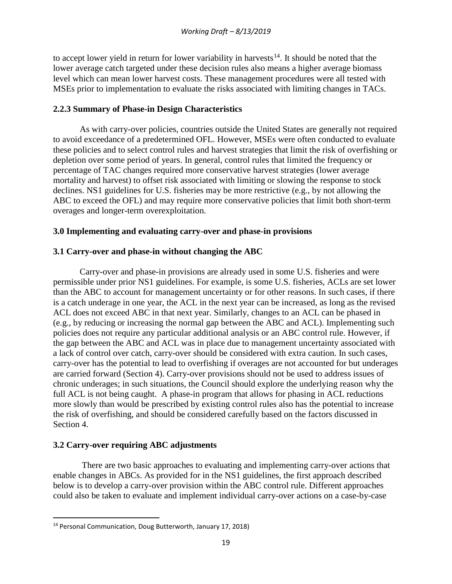to accept lower yield in return for lower variability in harvests<sup>[14](#page-19-0)</sup>. It should be noted that the lower average catch targeted under these decision rules also means a higher average biomass level which can mean lower harvest costs. These management procedures were all tested with MSEs prior to implementation to evaluate the risks associated with limiting changes in TACs.

# **2.2.3 Summary of Phase-in Design Characteristics**

As with carry-over policies, countries outside the United States are generally not required to avoid exceedance of a predetermined OFL. However, MSEs were often conducted to evaluate these policies and to select control rules and harvest strategies that limit the risk of overfishing or depletion over some period of years. In general, control rules that limited the frequency or percentage of TAC changes required more conservative harvest strategies (lower average mortality and harvest) to offset risk associated with limiting or slowing the response to stock declines. NS1 guidelines for U.S. fisheries may be more restrictive (e.g., by not allowing the ABC to exceed the OFL) and may require more conservative policies that limit both short-term overages and longer-term overexploitation.

# **3.0 Implementing and evaluating carry-over and phase-in provisions**

# **3.1 Carry-over and phase-in without changing the ABC**

Carry-over and phase-in provisions are already used in some U.S. fisheries and were permissible under prior NS1 guidelines. For example, is some U.S. fisheries, ACLs are set lower than the ABC to account for management uncertainty or for other reasons. In such cases, if there is a catch underage in one year, the ACL in the next year can be increased, as long as the revised ACL does not exceed ABC in that next year. Similarly, changes to an ACL can be phased in (e.g., by reducing or increasing the normal gap between the ABC and ACL). Implementing such policies does not require any particular additional analysis or an ABC control rule. However, if the gap between the ABC and ACL was in place due to management uncertainty associated with a lack of control over catch, carry-over should be considered with extra caution. In such cases, carry-over has the potential to lead to overfishing if overages are not accounted for but underages are carried forward (Section 4). Carry-over provisions should not be used to address issues of chronic underages; in such situations, the Council should explore the underlying reason why the full ACL is not being caught. A phase-in program that allows for phasing in ACL reductions more slowly than would be prescribed by existing control rules also has the potential to increase the risk of overfishing, and should be considered carefully based on the factors discussed in Section 4.

## **3.2 Carry-over requiring ABC adjustments**

There are two basic approaches to evaluating and implementing carry-over actions that enable changes in ABCs. As provided for in the NS1 guidelines, the first approach described below is to develop a carry-over provision within the ABC control rule. Different approaches could also be taken to evaluate and implement individual carry-over actions on a case-by-case

<span id="page-19-0"></span> <sup>14</sup> Personal Communication, Doug Butterworth, January 17, 2018)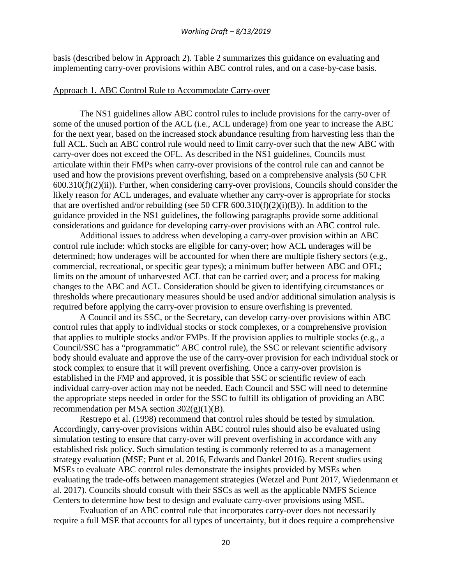basis (described below in Approach 2). Table 2 summarizes this guidance on evaluating and implementing carry-over provisions within ABC control rules, and on a case-by-case basis.

#### Approach 1. ABC Control Rule to Accommodate Carry-over

The NS1 guidelines allow ABC control rules to include provisions for the carry-over of some of the unused portion of the ACL (i.e., ACL underage) from one year to increase the ABC for the next year, based on the increased stock abundance resulting from harvesting less than the full ACL. Such an ABC control rule would need to limit carry-over such that the new ABC with carry-over does not exceed the OFL. As described in the NS1 guidelines, Councils must articulate within their FMPs when carry-over provisions of the control rule can and cannot be used and how the provisions prevent overfishing, based on a comprehensive analysis (50 CFR  $600.310(f)(2)(ii)$ ). Further, when considering carry-over provisions, Councils should consider the likely reason for ACL underages, and evaluate whether any carry-over is appropriate for stocks that are overfished and/or rebuilding (see 50 CFR  $600.310(f)(2)(i)(B)$ ). In addition to the guidance provided in the NS1 guidelines, the following paragraphs provide some additional considerations and guidance for developing carry-over provisions with an ABC control rule.

Additional issues to address when developing a carry-over provision within an ABC control rule include: which stocks are eligible for carry-over; how ACL underages will be determined; how underages will be accounted for when there are multiple fishery sectors (e.g., commercial, recreational, or specific gear types); a minimum buffer between ABC and OFL; limits on the amount of unharvested ACL that can be carried over; and a process for making changes to the ABC and ACL. Consideration should be given to identifying circumstances or thresholds where precautionary measures should be used and/or additional simulation analysis is required before applying the carry-over provision to ensure overfishing is prevented.

A Council and its SSC, or the Secretary, can develop carry-over provisions within ABC control rules that apply to individual stocks or stock complexes, or a comprehensive provision that applies to multiple stocks and/or FMPs. If the provision applies to multiple stocks (e.g., a Council/SSC has a "programmatic" ABC control rule), the SSC or relevant scientific advisory body should evaluate and approve the use of the carry-over provision for each individual stock or stock complex to ensure that it will prevent overfishing. Once a carry-over provision is established in the FMP and approved, it is possible that SSC or scientific review of each individual carry-over action may not be needed. Each Council and SSC will need to determine the appropriate steps needed in order for the SSC to fulfill its obligation of providing an ABC recommendation per MSA section  $302(g)(1)(B)$ .

Restrepo et al. (1998) recommend that control rules should be tested by simulation. Accordingly, carry-over provisions within ABC control rules should also be evaluated using simulation testing to ensure that carry-over will prevent overfishing in accordance with any established risk policy. Such simulation testing is commonly referred to as a management strategy evaluation (MSE; Punt et al. 2016, Edwards and Dankel 2016). Recent studies using MSEs to evaluate ABC control rules demonstrate the insights provided by MSEs when evaluating the trade-offs between management strategies (Wetzel and Punt 2017, Wiedenmann et al. 2017). Councils should consult with their SSCs as well as the applicable NMFS Science Centers to determine how best to design and evaluate carry-over provisions using MSE.

Evaluation of an ABC control rule that incorporates carry-over does not necessarily require a full MSE that accounts for all types of uncertainty, but it does require a comprehensive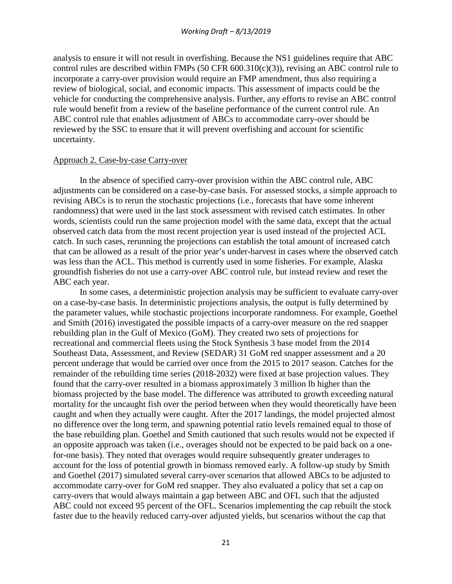analysis to ensure it will not result in overfishing. Because the NS1 guidelines require that ABC control rules are described within FMPs (50 CFR  $600.310(c)(3)$ ), revising an ABC control rule to incorporate a carry-over provision would require an FMP amendment, thus also requiring a review of biological, social, and economic impacts. This assessment of impacts could be the vehicle for conducting the comprehensive analysis. Further, any efforts to revise an ABC control rule would benefit from a review of the baseline performance of the current control rule. An ABC control rule that enables adjustment of ABCs to accommodate carry-over should be reviewed by the SSC to ensure that it will prevent overfishing and account for scientific uncertainty.

#### Approach 2. Case-by-case Carry-over

In the absence of specified carry-over provision within the ABC control rule, ABC adjustments can be considered on a case-by-case basis. For assessed stocks, a simple approach to revising ABCs is to rerun the stochastic projections (i.e., forecasts that have some inherent randomness) that were used in the last stock assessment with revised catch estimates. In other words, scientists could run the same projection model with the same data, except that the actual observed catch data from the most recent projection year is used instead of the projected ACL catch. In such cases, rerunning the projections can establish the total amount of increased catch that can be allowed as a result of the prior year's under-harvest in cases where the observed catch was less than the ACL. This method is currently used in some fisheries. For example, Alaska groundfish fisheries do not use a carry-over ABC control rule, but instead review and reset the ABC each year.

In some cases, a deterministic projection analysis may be sufficient to evaluate carry-over on a case-by-case basis. In deterministic projections analysis, the output is fully determined by the parameter values, while stochastic projections incorporate randomness. For example, Goethel and Smith (2016) investigated the possible impacts of a carry-over measure on the red snapper rebuilding plan in the Gulf of Mexico (GoM). They created two sets of projections for recreational and commercial fleets using the Stock Synthesis 3 base model from the 2014 Southeast Data, Assessment, and Review (SEDAR) 31 GoM red snapper assessment and a 20 percent underage that would be carried over once from the 2015 to 2017 season. Catches for the remainder of the rebuilding time series (2018-2032) were fixed at base projection values. They found that the carry-over resulted in a biomass approximately 3 million lb higher than the biomass projected by the base model. The difference was attributed to growth exceeding natural mortality for the uncaught fish over the period between when they would theoretically have been caught and when they actually were caught. After the 2017 landings, the model projected almost no difference over the long term, and spawning potential ratio levels remained equal to those of the base rebuilding plan. Goethel and Smith cautioned that such results would not be expected if an opposite approach was taken (i.e., overages should not be expected to be paid back on a onefor-one basis). They noted that overages would require subsequently greater underages to account for the loss of potential growth in biomass removed early. A follow-up study by Smith and Goethel (2017) simulated several carry-over scenarios that allowed ABCs to be adjusted to accommodate carry-over for GoM red snapper. They also evaluated a policy that set a cap on carry-overs that would always maintain a gap between ABC and OFL such that the adjusted ABC could not exceed 95 percent of the OFL. Scenarios implementing the cap rebuilt the stock faster due to the heavily reduced carry-over adjusted yields, but scenarios without the cap that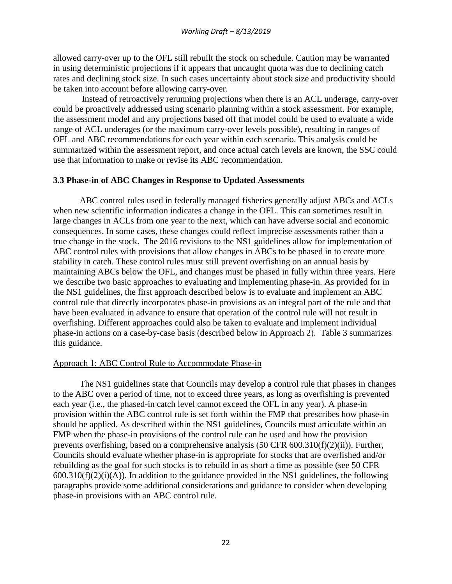allowed carry-over up to the OFL still rebuilt the stock on schedule. Caution may be warranted in using deterministic projections if it appears that uncaught quota was due to declining catch rates and declining stock size. In such cases uncertainty about stock size and productivity should be taken into account before allowing carry-over.

Instead of retroactively rerunning projections when there is an ACL underage, carry-over could be proactively addressed using scenario planning within a stock assessment. For example, the assessment model and any projections based off that model could be used to evaluate a wide range of ACL underages (or the maximum carry-over levels possible), resulting in ranges of OFL and ABC recommendations for each year within each scenario. This analysis could be summarized within the assessment report, and once actual catch levels are known, the SSC could use that information to make or revise its ABC recommendation.

#### **3.3 Phase-in of ABC Changes in Response to Updated Assessments**

ABC control rules used in federally managed fisheries generally adjust ABCs and ACLs when new scientific information indicates a change in the OFL. This can sometimes result in large changes in ACLs from one year to the next, which can have adverse social and economic consequences. In some cases, these changes could reflect imprecise assessments rather than a true change in the stock. The 2016 revisions to the NS1 guidelines allow for implementation of ABC control rules with provisions that allow changes in ABCs to be phased in to create more stability in catch. These control rules must still prevent overfishing on an annual basis by maintaining ABCs below the OFL, and changes must be phased in fully within three years. Here we describe two basic approaches to evaluating and implementing phase-in. As provided for in the NS1 guidelines, the first approach described below is to evaluate and implement an ABC control rule that directly incorporates phase-in provisions as an integral part of the rule and that have been evaluated in advance to ensure that operation of the control rule will not result in overfishing. Different approaches could also be taken to evaluate and implement individual phase-in actions on a case-by-case basis (described below in Approach 2). Table 3 summarizes this guidance.

### Approach 1: ABC Control Rule to Accommodate Phase-in

The NS1 guidelines state that Councils may develop a control rule that phases in changes to the ABC over a period of time, not to exceed three years, as long as overfishing is prevented each year (i.e., the phased-in catch level cannot exceed the OFL in any year). A phase-in provision within the ABC control rule is set forth within the FMP that prescribes how phase-in should be applied. As described within the NS1 guidelines, Councils must articulate within an FMP when the phase-in provisions of the control rule can be used and how the provision prevents overfishing, based on a comprehensive analysis (50 CFR 600.310(f)(2)(ii)). Further, Councils should evaluate whether phase-in is appropriate for stocks that are overfished and/or rebuilding as the goal for such stocks is to rebuild in as short a time as possible (see 50 CFR  $600.310(f)(2)(i)(A)$ ). In addition to the guidance provided in the NS1 guidelines, the following paragraphs provide some additional considerations and guidance to consider when developing phase-in provisions with an ABC control rule.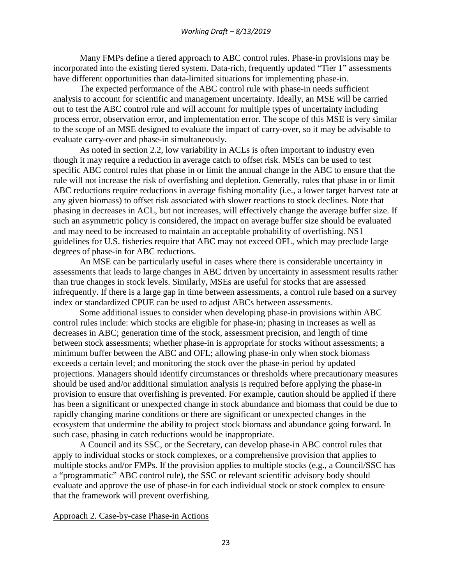Many FMPs define a tiered approach to ABC control rules. Phase-in provisions may be incorporated into the existing tiered system. Data-rich, frequently updated "Tier 1" assessments have different opportunities than data-limited situations for implementing phase-in.

The expected performance of the ABC control rule with phase-in needs sufficient analysis to account for scientific and management uncertainty. Ideally, an MSE will be carried out to test the ABC control rule and will account for multiple types of uncertainty including process error, observation error, and implementation error. The scope of this MSE is very similar to the scope of an MSE designed to evaluate the impact of carry-over, so it may be advisable to evaluate carry-over and phase-in simultaneously.

As noted in section 2.2, low variability in ACLs is often important to industry even though it may require a reduction in average catch to offset risk. MSEs can be used to test specific ABC control rules that phase in or limit the annual change in the ABC to ensure that the rule will not increase the risk of overfishing and depletion. Generally, rules that phase in or limit ABC reductions require reductions in average fishing mortality (i.e., a lower target harvest rate at any given biomass) to offset risk associated with slower reactions to stock declines. Note that phasing in decreases in ACL, but not increases, will effectively change the average buffer size. If such an asymmetric policy is considered, the impact on average buffer size should be evaluated and may need to be increased to maintain an acceptable probability of overfishing. NS1 guidelines for U.S. fisheries require that ABC may not exceed OFL, which may preclude large degrees of phase-in for ABC reductions.

An MSE can be particularly useful in cases where there is considerable uncertainty in assessments that leads to large changes in ABC driven by uncertainty in assessment results rather than true changes in stock levels. Similarly, MSEs are useful for stocks that are assessed infrequently. If there is a large gap in time between assessments, a control rule based on a survey index or standardized CPUE can be used to adjust ABCs between assessments.

Some additional issues to consider when developing phase-in provisions within ABC control rules include: which stocks are eligible for phase-in; phasing in increases as well as decreases in ABC; generation time of the stock, assessment precision, and length of time between stock assessments; whether phase-in is appropriate for stocks without assessments; a minimum buffer between the ABC and OFL; allowing phase-in only when stock biomass exceeds a certain level; and monitoring the stock over the phase-in period by updated projections. Managers should identify circumstances or thresholds where precautionary measures should be used and/or additional simulation analysis is required before applying the phase-in provision to ensure that overfishing is prevented. For example, caution should be applied if there has been a significant or unexpected change in stock abundance and biomass that could be due to rapidly changing marine conditions or there are significant or unexpected changes in the ecosystem that undermine the ability to project stock biomass and abundance going forward. In such case, phasing in catch reductions would be inappropriate.

A Council and its SSC, or the Secretary, can develop phase-in ABC control rules that apply to individual stocks or stock complexes, or a comprehensive provision that applies to multiple stocks and/or FMPs. If the provision applies to multiple stocks (e.g., a Council/SSC has a "programmatic" ABC control rule), the SSC or relevant scientific advisory body should evaluate and approve the use of phase-in for each individual stock or stock complex to ensure that the framework will prevent overfishing.

Approach 2. Case-by-case Phase-in Actions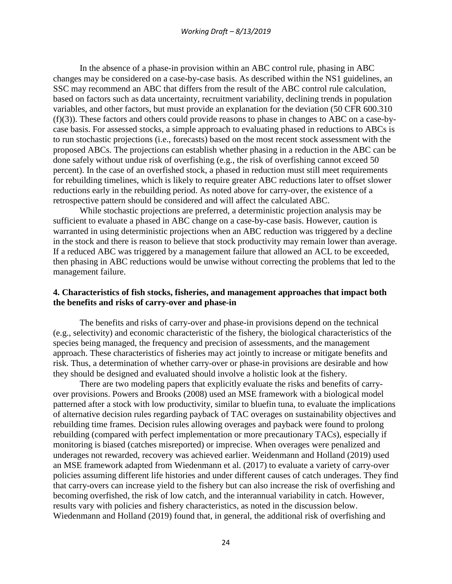In the absence of a phase-in provision within an ABC control rule, phasing in ABC changes may be considered on a case-by-case basis. As described within the NS1 guidelines, an SSC may recommend an ABC that differs from the result of the ABC control rule calculation, based on factors such as data uncertainty, recruitment variability, declining trends in population variables, and other factors, but must provide an explanation for the deviation (50 CFR 600.310 (f)(3)). These factors and others could provide reasons to phase in changes to ABC on a case-bycase basis. For assessed stocks, a simple approach to evaluating phased in reductions to ABCs is to run stochastic projections (i.e., forecasts) based on the most recent stock assessment with the proposed ABCs. The projections can establish whether phasing in a reduction in the ABC can be done safely without undue risk of overfishing (e.g., the risk of overfishing cannot exceed 50 percent). In the case of an overfished stock, a phased in reduction must still meet requirements for rebuilding timelines, which is likely to require greater ABC reductions later to offset slower reductions early in the rebuilding period. As noted above for carry-over, the existence of a retrospective pattern should be considered and will affect the calculated ABC.

While stochastic projections are preferred, a deterministic projection analysis may be sufficient to evaluate a phased in ABC change on a case-by-case basis. However, caution is warranted in using deterministic projections when an ABC reduction was triggered by a decline in the stock and there is reason to believe that stock productivity may remain lower than average. If a reduced ABC was triggered by a management failure that allowed an ACL to be exceeded, then phasing in ABC reductions would be unwise without correcting the problems that led to the management failure.

### **4. Characteristics of fish stocks, fisheries, and management approaches that impact both the benefits and risks of carry-over and phase-in**

The benefits and risks of carry-over and phase-in provisions depend on the technical (e.g., selectivity) and economic characteristic of the fishery, the biological characteristics of the species being managed, the frequency and precision of assessments, and the management approach. These characteristics of fisheries may act jointly to increase or mitigate benefits and risk. Thus, a determination of whether carry-over or phase-in provisions are desirable and how they should be designed and evaluated should involve a holistic look at the fishery.

There are two modeling papers that explicitly evaluate the risks and benefits of carryover provisions. Powers and Brooks (2008) used an MSE framework with a biological model patterned after a stock with low productivity, similar to bluefin tuna, to evaluate the implications of alternative decision rules regarding payback of TAC overages on sustainability objectives and rebuilding time frames. Decision rules allowing overages and payback were found to prolong rebuilding (compared with perfect implementation or more precautionary TACs), especially if monitoring is biased (catches misreported) or imprecise. When overages were penalized and underages not rewarded, recovery was achieved earlier. Weidenmann and Holland (2019) used an MSE framework adapted from Wiedenmann et al. (2017) to evaluate a variety of carry-over policies assuming different life histories and under different causes of catch underages. They find that carry-overs can increase yield to the fishery but can also increase the risk of overfishing and becoming overfished, the risk of low catch, and the interannual variability in catch. However, results vary with policies and fishery characteristics, as noted in the discussion below. Wiedenmann and Holland (2019) found that, in general, the additional risk of overfishing and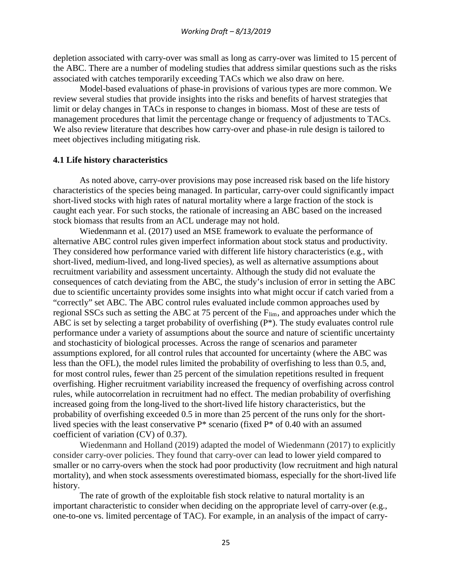depletion associated with carry-over was small as long as carry-over was limited to 15 percent of the ABC. There are a number of modeling studies that address similar questions such as the risks associated with catches temporarily exceeding TACs which we also draw on here.

Model-based evaluations of phase-in provisions of various types are more common. We review several studies that provide insights into the risks and benefits of harvest strategies that limit or delay changes in TACs in response to changes in biomass. Most of these are tests of management procedures that limit the percentage change or frequency of adjustments to TACs. We also review literature that describes how carry-over and phase-in rule design is tailored to meet objectives including mitigating risk.

#### **4.1 Life history characteristics**

As noted above, carry-over provisions may pose increased risk based on the life history characteristics of the species being managed. In particular, carry-over could significantly impact short-lived stocks with high rates of natural mortality where a large fraction of the stock is caught each year. For such stocks, the rationale of increasing an ABC based on the increased stock biomass that results from an ACL underage may not hold.

Wiedenmann et al. (2017) used an MSE framework to evaluate the performance of alternative ABC control rules given imperfect information about stock status and productivity. They considered how performance varied with different life history characteristics (e.g., with short-lived, medium-lived, and long-lived species), as well as alternative assumptions about recruitment variability and assessment uncertainty. Although the study did not evaluate the consequences of catch deviating from the ABC, the study's inclusion of error in setting the ABC due to scientific uncertainty provides some insights into what might occur if catch varied from a "correctly" set ABC. The ABC control rules evaluated include common approaches used by regional SSCs such as setting the ABC at 75 percent of the F<sub>lim</sub>, and approaches under which the ABC is set by selecting a target probability of overfishing (P\*). The study evaluates control rule performance under a variety of assumptions about the source and nature of scientific uncertainty and stochasticity of biological processes. Across the range of scenarios and parameter assumptions explored, for all control rules that accounted for uncertainty (where the ABC was less than the OFL), the model rules limited the probability of overfishing to less than 0.5, and, for most control rules, fewer than 25 percent of the simulation repetitions resulted in frequent overfishing. Higher recruitment variability increased the frequency of overfishing across control rules, while autocorrelation in recruitment had no effect. The median probability of overfishing increased going from the long-lived to the short-lived life history characteristics, but the probability of overfishing exceeded 0.5 in more than 25 percent of the runs only for the shortlived species with the least conservative P\* scenario (fixed P\* of 0.40 with an assumed coefficient of variation (CV) of 0.37).

Wiedenmann and Holland (2019) adapted the model of Wiedenmann (2017) to explicitly consider carry-over policies. They found that carry-over can lead to lower yield compared to smaller or no carry-overs when the stock had poor productivity (low recruitment and high natural mortality), and when stock assessments overestimated biomass, especially for the short-lived life history.

The rate of growth of the exploitable fish stock relative to natural mortality is an important characteristic to consider when deciding on the appropriate level of carry-over (e.g., one-to-one vs. limited percentage of TAC). For example, in an analysis of the impact of carry-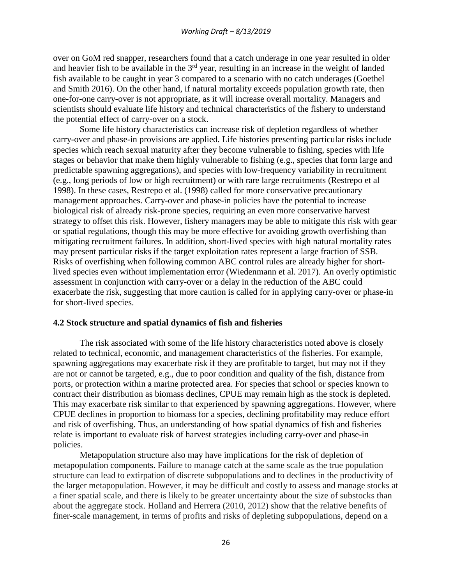over on GoM red snapper, researchers found that a catch underage in one year resulted in older and heavier fish to be available in the 3<sup>rd</sup> year, resulting in an increase in the weight of landed fish available to be caught in year 3 compared to a scenario with no catch underages (Goethel and Smith 2016). On the other hand, if natural mortality exceeds population growth rate, then one-for-one carry-over is not appropriate, as it will increase overall mortality. Managers and scientists should evaluate life history and technical characteristics of the fishery to understand the potential effect of carry-over on a stock.

Some life history characteristics can increase risk of depletion regardless of whether carry-over and phase-in provisions are applied. Life histories presenting particular risks include species which reach sexual maturity after they become vulnerable to fishing, species with life stages or behavior that make them highly vulnerable to fishing (e.g., species that form large and predictable spawning aggregations), and species with low-frequency variability in recruitment (e.g., long periods of low or high recruitment) or with rare large recruitments (Restrepo et al 1998). In these cases, Restrepo et al. (1998) called for more conservative precautionary management approaches. Carry-over and phase-in policies have the potential to increase biological risk of already risk-prone species, requiring an even more conservative harvest strategy to offset this risk. However, fishery managers may be able to mitigate this risk with gear or spatial regulations, though this may be more effective for avoiding growth overfishing than mitigating recruitment failures. In addition, short-lived species with high natural mortality rates may present particular risks if the target exploitation rates represent a large fraction of SSB. Risks of overfishing when following common ABC control rules are already higher for shortlived species even without implementation error (Wiedenmann et al. 2017). An overly optimistic assessment in conjunction with carry-over or a delay in the reduction of the ABC could exacerbate the risk, suggesting that more caution is called for in applying carry-over or phase-in for short-lived species.

### **4.2 Stock structure and spatial dynamics of fish and fisheries**

The risk associated with some of the life history characteristics noted above is closely related to technical, economic, and management characteristics of the fisheries. For example, spawning aggregations may exacerbate risk if they are profitable to target, but may not if they are not or cannot be targeted, e.g., due to poor condition and quality of the fish, distance from ports, or protection within a marine protected area. For species that school or species known to contract their distribution as biomass declines, CPUE may remain high as the stock is depleted. This may exacerbate risk similar to that experienced by spawning aggregations. However, where CPUE declines in proportion to biomass for a species, declining profitability may reduce effort and risk of overfishing. Thus, an understanding of how spatial dynamics of fish and fisheries relate is important to evaluate risk of harvest strategies including carry-over and phase-in policies.

Metapopulation structure also may have implications for the risk of depletion of metapopulation components. Failure to manage catch at the same scale as the true population structure can lead to extirpation of discrete subpopulations and to declines in the productivity of the larger metapopulation. However, it may be difficult and costly to assess and manage stocks at a finer spatial scale, and there is likely to be greater uncertainty about the size of substocks than about the aggregate stock. Holland and Herrera (2010, 2012) show that the relative benefits of finer-scale management, in terms of profits and risks of depleting subpopulations, depend on a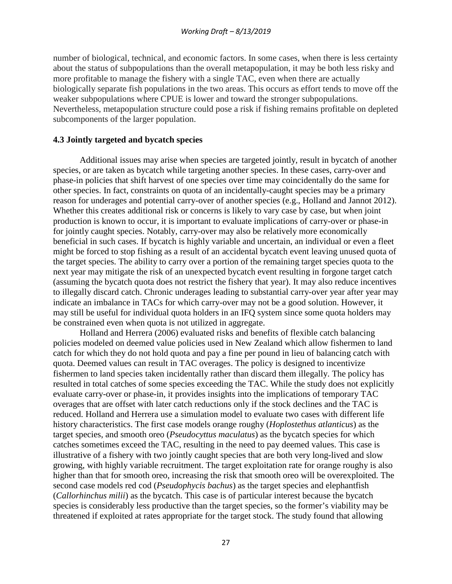number of biological, technical, and economic factors. In some cases, when there is less certainty about the status of subpopulations than the overall metapopulation, it may be both less risky and more profitable to manage the fishery with a single TAC, even when there are actually biologically separate fish populations in the two areas. This occurs as effort tends to move off the weaker subpopulations where CPUE is lower and toward the stronger subpopulations. Nevertheless, metapopulation structure could pose a risk if fishing remains profitable on depleted subcomponents of the larger population.

### **4.3 Jointly targeted and bycatch species**

Additional issues may arise when species are targeted jointly, result in bycatch of another species, or are taken as bycatch while targeting another species. In these cases, carry-over and phase-in policies that shift harvest of one species over time may coincidentally do the same for other species. In fact, constraints on quota of an incidentally-caught species may be a primary reason for underages and potential carry-over of another species (e.g., Holland and Jannot 2012). Whether this creates additional risk or concerns is likely to vary case by case, but when joint production is known to occur, it is important to evaluate implications of carry-over or phase-in for jointly caught species. Notably, carry-over may also be relatively more economically beneficial in such cases. If bycatch is highly variable and uncertain, an individual or even a fleet might be forced to stop fishing as a result of an accidental bycatch event leaving unused quota of the target species. The ability to carry over a portion of the remaining target species quota to the next year may mitigate the risk of an unexpected bycatch event resulting in forgone target catch (assuming the bycatch quota does not restrict the fishery that year). It may also reduce incentives to illegally discard catch. Chronic underages leading to substantial carry-over year after year may indicate an imbalance in TACs for which carry-over may not be a good solution. However, it may still be useful for individual quota holders in an IFQ system since some quota holders may be constrained even when quota is not utilized in aggregate.

Holland and Herrera (2006) evaluated risks and benefits of flexible catch balancing policies modeled on deemed value policies used in New Zealand which allow fishermen to land catch for which they do not hold quota and pay a fine per pound in lieu of balancing catch with quota. Deemed values can result in TAC overages. The policy is designed to incentivize fishermen to land species taken incidentally rather than discard them illegally. The policy has resulted in total catches of some species exceeding the TAC. While the study does not explicitly evaluate carry-over or phase-in, it provides insights into the implications of temporary TAC overages that are offset with later catch reductions only if the stock declines and the TAC is reduced. Holland and Herrera use a simulation model to evaluate two cases with different life history characteristics. The first case models orange roughy (*Hoplostethus atlanticus*) as the target species, and smooth oreo (*Pseudocyttus maculatus*) as the bycatch species for which catches sometimes exceed the TAC, resulting in the need to pay deemed values. This case is illustrative of a fishery with two jointly caught species that are both very long-lived and slow growing, with highly variable recruitment. The target exploitation rate for orange roughy is also higher than that for smooth oreo, increasing the risk that smooth oreo will be overexploited. The second case models red cod (*Pseudophycis bachus*) as the target species and elephantfish (*Callorhinchus milii*) as the bycatch. This case is of particular interest because the bycatch species is considerably less productive than the target species, so the former's viability may be threatened if exploited at rates appropriate for the target stock. The study found that allowing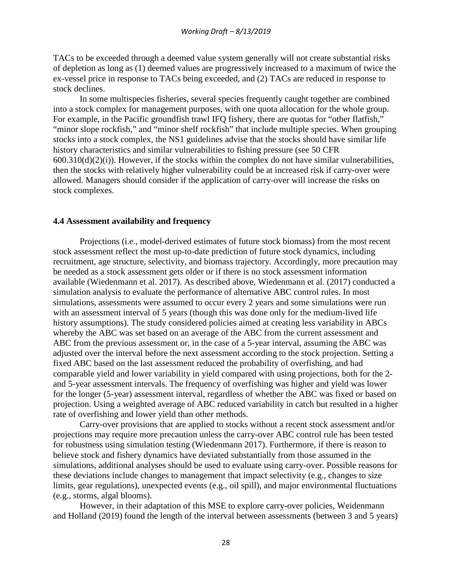TACs to be exceeded through a deemed value system generally will not create substantial risks of depletion as long as (1) deemed values are progressively increased to a maximum of twice the ex-vessel price in response to TACs being exceeded, and (2) TACs are reduced in response to stock declines.

In some multispecies fisheries, several species frequently caught together are combined into a stock complex for management purposes, with one quota allocation for the whole group. For example, in the Pacific groundfish trawl IFQ fishery, there are quotas for "other flatfish," "minor slope rockfish," and "minor shelf rockfish" that include multiple species. When grouping stocks into a stock complex, the NS1 guidelines advise that the stocks should have similar life history characteristics and similar vulnerabilities to fishing pressure (see 50 CFR  $600.310(d)(2)(i)$ ). However, if the stocks within the complex do not have similar vulnerabilities, then the stocks with relatively higher vulnerability could be at increased risk if carry-over were allowed. Managers should consider if the application of carry-over will increase the risks on stock complexes.

#### **4.4 Assessment availability and frequency**

Projections (i.e., model-derived estimates of future stock biomass) from the most recent stock assessment reflect the most up-to-date prediction of future stock dynamics, including recruitment, age structure, selectivity, and biomass trajectory. Accordingly, more precaution may be needed as a stock assessment gets older or if there is no stock assessment information available (Wiedenmann et al. 2017). As described above, Wiedenmann et al. (2017) conducted a simulation analysis to evaluate the performance of alternative ABC control rules. In most simulations, assessments were assumed to occur every 2 years and some simulations were run with an assessment interval of 5 years (though this was done only for the medium-lived life history assumptions). The study considered policies aimed at creating less variability in ABCs whereby the ABC was set based on an average of the ABC from the current assessment and ABC from the previous assessment or, in the case of a 5-year interval, assuming the ABC was adjusted over the interval before the next assessment according to the stock projection. Setting a fixed ABC based on the last assessment reduced the probability of overfishing, and had comparable yield and lower variability in yield compared with using projections, both for the 2 and 5-year assessment intervals. The frequency of overfishing was higher and yield was lower for the longer (5-year) assessment interval, regardless of whether the ABC was fixed or based on projection. Using a weighted average of ABC reduced variability in catch but resulted in a higher rate of overfishing and lower yield than other methods.

Carry-over provisions that are applied to stocks without a recent stock assessment and/or projections may require more precaution unless the carry-over ABC control rule has been tested for robustness using simulation testing (Wiedenmann 2017). Furthermore, if there is reason to believe stock and fishery dynamics have deviated substantially from those assumed in the simulations, additional analyses should be used to evaluate using carry-over. Possible reasons for these deviations include changes to management that impact selectivity (e.g., changes to size limits, gear regulations), unexpected events (e.g., oil spill), and major environmental fluctuations (e.g., storms, algal blooms).

However, in their adaptation of this MSE to explore carry-over policies, Weidenmann and Holland (2019) found the length of the interval between assessments (between 3 and 5 years)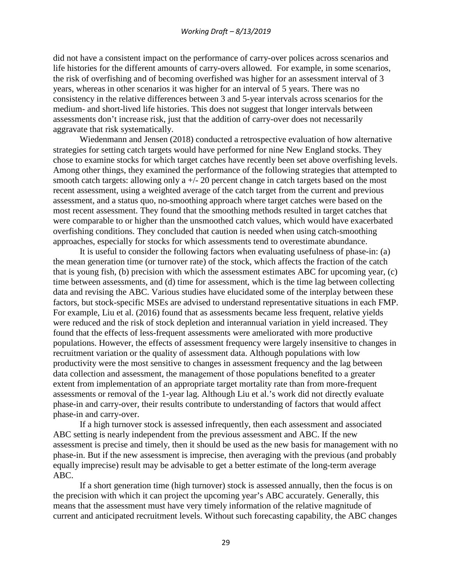did not have a consistent impact on the performance of carry-over polices across scenarios and life histories for the different amounts of carry-overs allowed. For example, in some scenarios, the risk of overfishing and of becoming overfished was higher for an assessment interval of 3 years, whereas in other scenarios it was higher for an interval of 5 years. There was no consistency in the relative differences between 3 and 5-year intervals across scenarios for the medium- and short-lived life histories. This does not suggest that longer intervals between assessments don't increase risk, just that the addition of carry-over does not necessarily aggravate that risk systematically.

Wiedenmann and Jensen (2018) conducted a retrospective evaluation of how alternative strategies for setting catch targets would have performed for nine New England stocks. They chose to examine stocks for which target catches have recently been set above overfishing levels. Among other things, they examined the performance of the following strategies that attempted to smooth catch targets: allowing only a  $+/-$  20 percent change in catch targets based on the most recent assessment, using a weighted average of the catch target from the current and previous assessment, and a status quo, no-smoothing approach where target catches were based on the most recent assessment. They found that the smoothing methods resulted in target catches that were comparable to or higher than the unsmoothed catch values, which would have exacerbated overfishing conditions. They concluded that caution is needed when using catch-smoothing approaches, especially for stocks for which assessments tend to overestimate abundance.

It is useful to consider the following factors when evaluating usefulness of phase-in: (a) the mean generation time (or turnover rate) of the stock, which affects the fraction of the catch that is young fish, (b) precision with which the assessment estimates ABC for upcoming year, (c) time between assessments, and (d) time for assessment, which is the time lag between collecting data and revising the ABC. Various studies have elucidated some of the interplay between these factors, but stock-specific MSEs are advised to understand representative situations in each FMP. For example, Liu et al. (2016) found that as assessments became less frequent, relative yields were reduced and the risk of stock depletion and interannual variation in yield increased. They found that the effects of less-frequent assessments were ameliorated with more productive populations. However, the effects of assessment frequency were largely insensitive to changes in recruitment variation or the quality of assessment data. Although populations with low productivity were the most sensitive to changes in assessment frequency and the lag between data collection and assessment, the management of those populations benefited to a greater extent from implementation of an appropriate target mortality rate than from more-frequent assessments or removal of the 1-year lag. Although Liu et al.'s work did not directly evaluate phase-in and carry-over, their results contribute to understanding of factors that would affect phase-in and carry-over.

If a high turnover stock is assessed infrequently, then each assessment and associated ABC setting is nearly independent from the previous assessment and ABC. If the new assessment is precise and timely, then it should be used as the new basis for management with no phase-in. But if the new assessment is imprecise, then averaging with the previous (and probably equally imprecise) result may be advisable to get a better estimate of the long-term average ABC.

If a short generation time (high turnover) stock is assessed annually, then the focus is on the precision with which it can project the upcoming year's ABC accurately. Generally, this means that the assessment must have very timely information of the relative magnitude of current and anticipated recruitment levels. Without such forecasting capability, the ABC changes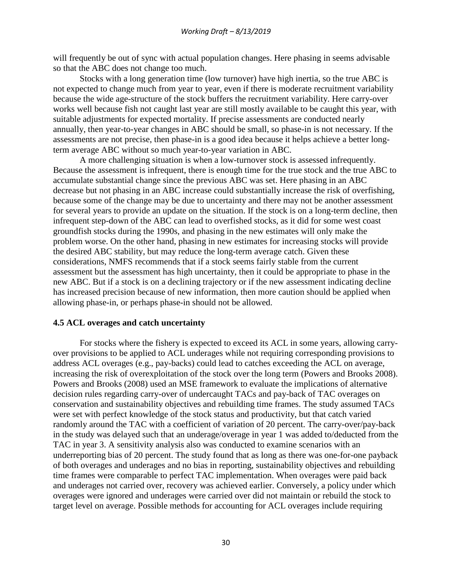will frequently be out of sync with actual population changes. Here phasing in seems advisable so that the ABC does not change too much.

Stocks with a long generation time (low turnover) have high inertia, so the true ABC is not expected to change much from year to year, even if there is moderate recruitment variability because the wide age-structure of the stock buffers the recruitment variability. Here carry-over works well because fish not caught last year are still mostly available to be caught this year, with suitable adjustments for expected mortality. If precise assessments are conducted nearly annually, then year-to-year changes in ABC should be small, so phase-in is not necessary. If the assessments are not precise, then phase-in is a good idea because it helps achieve a better longterm average ABC without so much year-to-year variation in ABC.

A more challenging situation is when a low-turnover stock is assessed infrequently. Because the assessment is infrequent, there is enough time for the true stock and the true ABC to accumulate substantial change since the previous ABC was set. Here phasing in an ABC decrease but not phasing in an ABC increase could substantially increase the risk of overfishing, because some of the change may be due to uncertainty and there may not be another assessment for several years to provide an update on the situation. If the stock is on a long-term decline, then infrequent step-down of the ABC can lead to overfished stocks, as it did for some west coast groundfish stocks during the 1990s, and phasing in the new estimates will only make the problem worse. On the other hand, phasing in new estimates for increasing stocks will provide the desired ABC stability, but may reduce the long-term average catch. Given these considerations, NMFS recommends that if a stock seems fairly stable from the current assessment but the assessment has high uncertainty, then it could be appropriate to phase in the new ABC. But if a stock is on a declining trajectory or if the new assessment indicating decline has increased precision because of new information, then more caution should be applied when allowing phase-in, or perhaps phase-in should not be allowed.

### **4.5 ACL overages and catch uncertainty**

For stocks where the fishery is expected to exceed its ACL in some years, allowing carryover provisions to be applied to ACL underages while not requiring corresponding provisions to address ACL overages (e.g., pay-backs) could lead to catches exceeding the ACL on average, increasing the risk of overexploitation of the stock over the long term (Powers and Brooks 2008). Powers and Brooks (2008) used an MSE framework to evaluate the implications of alternative decision rules regarding carry-over of undercaught TACs and pay-back of TAC overages on conservation and sustainability objectives and rebuilding time frames. The study assumed TACs were set with perfect knowledge of the stock status and productivity, but that catch varied randomly around the TAC with a coefficient of variation of 20 percent. The carry-over/pay-back in the study was delayed such that an underage/overage in year 1 was added to/deducted from the TAC in year 3. A sensitivity analysis also was conducted to examine scenarios with an underreporting bias of 20 percent. The study found that as long as there was one-for-one payback of both overages and underages and no bias in reporting, sustainability objectives and rebuilding time frames were comparable to perfect TAC implementation. When overages were paid back and underages not carried over, recovery was achieved earlier. Conversely, a policy under which overages were ignored and underages were carried over did not maintain or rebuild the stock to target level on average. Possible methods for accounting for ACL overages include requiring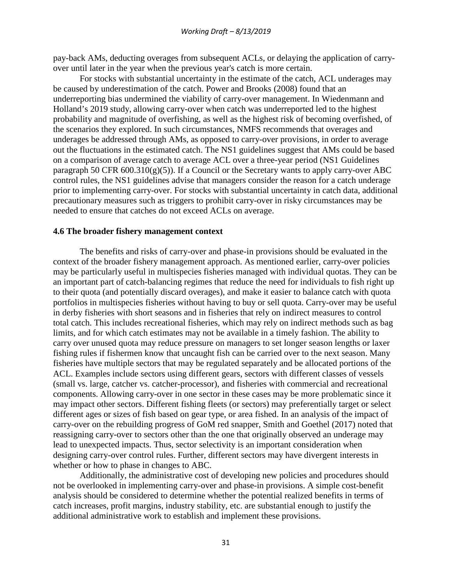pay-back AMs, deducting overages from subsequent ACLs, or delaying the application of carryover until later in the year when the previous year's catch is more certain.

For stocks with substantial uncertainty in the estimate of the catch, ACL underages may be caused by underestimation of the catch. Power and Brooks (2008) found that an underreporting bias undermined the viability of carry-over management. In Wiedenmann and Holland's 2019 study, allowing carry-over when catch was underreported led to the highest probability and magnitude of overfishing, as well as the highest risk of becoming overfished, of the scenarios they explored. In such circumstances, NMFS recommends that overages and underages be addressed through AMs, as opposed to carry-over provisions, in order to average out the fluctuations in the estimated catch. The NS1 guidelines suggest that AMs could be based on a comparison of average catch to average ACL over a three-year period (NS1 Guidelines paragraph 50 CFR  $600.310(g)(5)$ ). If a Council or the Secretary wants to apply carry-over ABC control rules, the NS1 guidelines advise that managers consider the reason for a catch underage prior to implementing carry-over. For stocks with substantial uncertainty in catch data, additional precautionary measures such as triggers to prohibit carry-over in risky circumstances may be needed to ensure that catches do not exceed ACLs on average.

#### **4.6 The broader fishery management context**

The benefits and risks of carry-over and phase-in provisions should be evaluated in the context of the broader fishery management approach. As mentioned earlier, carry-over policies may be particularly useful in multispecies fisheries managed with individual quotas. They can be an important part of catch-balancing regimes that reduce the need for individuals to fish right up to their quota (and potentially discard overages), and make it easier to balance catch with quota portfolios in multispecies fisheries without having to buy or sell quota. Carry-over may be useful in derby fisheries with short seasons and in fisheries that rely on indirect measures to control total catch. This includes recreational fisheries, which may rely on indirect methods such as bag limits, and for which catch estimates may not be available in a timely fashion. The ability to carry over unused quota may reduce pressure on managers to set longer season lengths or laxer fishing rules if fishermen know that uncaught fish can be carried over to the next season. Many fisheries have multiple sectors that may be regulated separately and be allocated portions of the ACL. Examples include sectors using different gears, sectors with different classes of vessels (small vs. large, catcher vs. catcher-processor), and fisheries with commercial and recreational components. Allowing carry-over in one sector in these cases may be more problematic since it may impact other sectors. Different fishing fleets (or sectors) may preferentially target or select different ages or sizes of fish based on gear type, or area fished. In an analysis of the impact of carry-over on the rebuilding progress of GoM red snapper, Smith and Goethel (2017) noted that reassigning carry-over to sectors other than the one that originally observed an underage may lead to unexpected impacts. Thus, sector selectivity is an important consideration when designing carry-over control rules. Further, different sectors may have divergent interests in whether or how to phase in changes to ABC.

Additionally, the administrative cost of developing new policies and procedures should not be overlooked in implementing carry-over and phase-in provisions. A simple cost-benefit analysis should be considered to determine whether the potential realized benefits in terms of catch increases, profit margins, industry stability, etc. are substantial enough to justify the additional administrative work to establish and implement these provisions.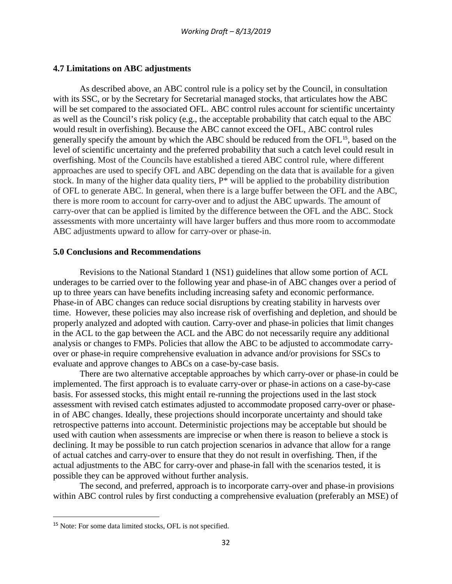### **4.7 Limitations on ABC adjustments**

As described above, an ABC control rule is a policy set by the Council, in consultation with its SSC, or by the Secretary for Secretarial managed stocks, that articulates how the ABC will be set compared to the associated OFL. ABC control rules account for scientific uncertainty as well as the Council's risk policy (e.g., the acceptable probability that catch equal to the ABC would result in overfishing). Because the ABC cannot exceed the OFL, ABC control rules generally specify the amount by which the ABC should be reduced from the OFL<sup>[15](#page-32-0)</sup>, based on the level of scientific uncertainty and the preferred probability that such a catch level could result in overfishing. Most of the Councils have established a tiered ABC control rule, where different approaches are used to specify OFL and ABC depending on the data that is available for a given stock. In many of the higher data quality tiers, P\* will be applied to the probability distribution of OFL to generate ABC. In general, when there is a large buffer between the OFL and the ABC, there is more room to account for carry-over and to adjust the ABC upwards. The amount of carry-over that can be applied is limited by the difference between the OFL and the ABC. Stock assessments with more uncertainty will have larger buffers and thus more room to accommodate ABC adjustments upward to allow for carry-over or phase-in.

#### **5.0 Conclusions and Recommendations**

Revisions to the National Standard 1 (NS1) guidelines that allow some portion of ACL underages to be carried over to the following year and phase-in of ABC changes over a period of up to three years can have benefits including increasing safety and economic performance. Phase-in of ABC changes can reduce social disruptions by creating stability in harvests over time. However, these policies may also increase risk of overfishing and depletion, and should be properly analyzed and adopted with caution. Carry-over and phase-in policies that limit changes in the ACL to the gap between the ACL and the ABC do not necessarily require any additional analysis or changes to FMPs. Policies that allow the ABC to be adjusted to accommodate carryover or phase-in require comprehensive evaluation in advance and/or provisions for SSCs to evaluate and approve changes to ABCs on a case-by-case basis.

There are two alternative acceptable approaches by which carry-over or phase-in could be implemented. The first approach is to evaluate carry-over or phase-in actions on a case-by-case basis. For assessed stocks, this might entail re-running the projections used in the last stock assessment with revised catch estimates adjusted to accommodate proposed carry-over or phasein of ABC changes. Ideally, these projections should incorporate uncertainty and should take retrospective patterns into account. Deterministic projections may be acceptable but should be used with caution when assessments are imprecise or when there is reason to believe a stock is declining. It may be possible to run catch projection scenarios in advance that allow for a range of actual catches and carry-over to ensure that they do not result in overfishing. Then, if the actual adjustments to the ABC for carry-over and phase-in fall with the scenarios tested, it is possible they can be approved without further analysis.

The second, and preferred, approach is to incorporate carry-over and phase-in provisions within ABC control rules by first conducting a comprehensive evaluation (preferably an MSE) of

<span id="page-32-0"></span><sup>&</sup>lt;sup>15</sup> Note: For some data limited stocks, OFL is not specified.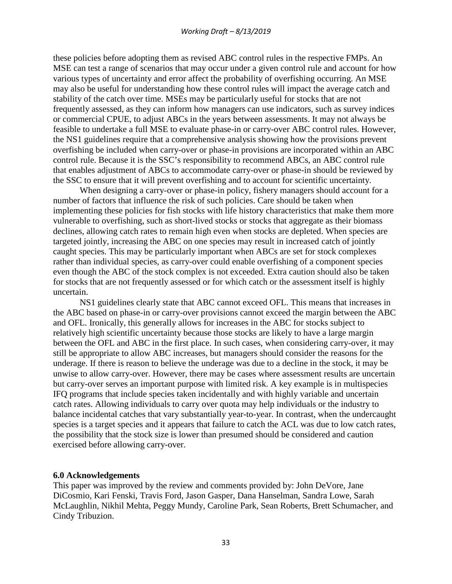these policies before adopting them as revised ABC control rules in the respective FMPs. An MSE can test a range of scenarios that may occur under a given control rule and account for how various types of uncertainty and error affect the probability of overfishing occurring. An MSE may also be useful for understanding how these control rules will impact the average catch and stability of the catch over time. MSEs may be particularly useful for stocks that are not frequently assessed, as they can inform how managers can use indicators, such as survey indices or commercial CPUE, to adjust ABCs in the years between assessments. It may not always be feasible to undertake a full MSE to evaluate phase-in or carry-over ABC control rules. However, the NS1 guidelines require that a comprehensive analysis showing how the provisions prevent overfishing be included when carry-over or phase-in provisions are incorporated within an ABC control rule. Because it is the SSC's responsibility to recommend ABCs, an ABC control rule that enables adjustment of ABCs to accommodate carry-over or phase-in should be reviewed by the SSC to ensure that it will prevent overfishing and to account for scientific uncertainty.

When designing a carry-over or phase-in policy, fishery managers should account for a number of factors that influence the risk of such policies. Care should be taken when implementing these policies for fish stocks with life history characteristics that make them more vulnerable to overfishing, such as short-lived stocks or stocks that aggregate as their biomass declines, allowing catch rates to remain high even when stocks are depleted. When species are targeted jointly, increasing the ABC on one species may result in increased catch of jointly caught species. This may be particularly important when ABCs are set for stock complexes rather than individual species, as carry-over could enable overfishing of a component species even though the ABC of the stock complex is not exceeded. Extra caution should also be taken for stocks that are not frequently assessed or for which catch or the assessment itself is highly uncertain.

NS1 guidelines clearly state that ABC cannot exceed OFL. This means that increases in the ABC based on phase-in or carry-over provisions cannot exceed the margin between the ABC and OFL. Ironically, this generally allows for increases in the ABC for stocks subject to relatively high scientific uncertainty because those stocks are likely to have a large margin between the OFL and ABC in the first place. In such cases, when considering carry-over, it may still be appropriate to allow ABC increases, but managers should consider the reasons for the underage. If there is reason to believe the underage was due to a decline in the stock, it may be unwise to allow carry-over. However, there may be cases where assessment results are uncertain but carry-over serves an important purpose with limited risk. A key example is in multispecies IFQ programs that include species taken incidentally and with highly variable and uncertain catch rates. Allowing individuals to carry over quota may help individuals or the industry to balance incidental catches that vary substantially year-to-year. In contrast, when the undercaught species is a target species and it appears that failure to catch the ACL was due to low catch rates, the possibility that the stock size is lower than presumed should be considered and caution exercised before allowing carry-over.

#### **6.0 Acknowledgements**

This paper was improved by the review and comments provided by: John DeVore, Jane DiCosmio, Kari Fenski, Travis Ford, Jason Gasper, Dana Hanselman, Sandra Lowe, Sarah McLaughlin, Nikhil Mehta, Peggy Mundy, Caroline Park, Sean Roberts, Brett Schumacher, and Cindy Tribuzion.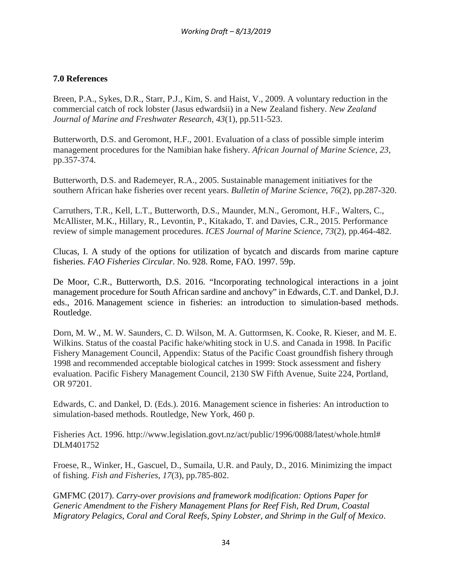# **7.0 References**

Breen, P.A., Sykes, D.R., Starr, P.J., Kim, S. and Haist, V., 2009. A voluntary reduction in the commercial catch of rock lobster (Jasus edwardsii) in a New Zealand fishery. *New Zealand Journal of Marine and Freshwater Research*, *43*(1), pp.511-523.

Butterworth, D.S. and Geromont, H.F., 2001. Evaluation of a class of possible simple interim management procedures for the Namibian hake fishery. *African Journal of Marine Science*, *23*, pp.357-374.

Butterworth, D.S. and Rademeyer, R.A., 2005. Sustainable management initiatives for the southern African hake fisheries over recent years. *Bulletin of Marine Science*, *76*(2), pp.287-320.

Carruthers, T.R., Kell, L.T., Butterworth, D.S., Maunder, M.N., Geromont, H.F., Walters, C., McAllister, M.K., Hillary, R., Levontin, P., Kitakado, T. and Davies, C.R., 2015. Performance review of simple management procedures. *ICES Journal of Marine Science*, *73*(2), pp.464-482.

Clucas, I. A study of the options for utilization of bycatch and discards from marine capture fisheries. *FAO Fisheries Circular*. No. 928. Rome, FAO. 1997. 59p.

De Moor, C.R., Butterworth, D.S. 2016. "Incorporating technological interactions in a joint management procedure for South African sardine and anchovy" in Edwards, C.T. and Dankel, D.J. eds., 2016. Management science in fisheries: an introduction to simulation-based methods. Routledge.

Dorn, M. W., M. W. Saunders, C. D. Wilson, M. A. Guttormsen, K. Cooke, R. Kieser, and M. E. Wilkins. Status of the coastal Pacific hake/whiting stock in U.S. and Canada in 1998. In Pacific Fishery Management Council, Appendix: Status of the Pacific Coast groundfish fishery through 1998 and recommended acceptable biological catches in 1999: Stock assessment and fishery evaluation. Pacific Fishery Management Council, 2130 SW Fifth Avenue, Suite 224, Portland, OR 97201.

Edwards, C. and Dankel, D. (Eds.). 2016. Management science in fisheries: An introduction to simulation-based methods. Routledge, New York, 460 p.

Fisheries Act. 1996. http://www.legislation.govt.nz/act/public/1996/0088/latest/whole.html# DLM401752

Froese, R., Winker, H., Gascuel, D., Sumaila, U.R. and Pauly, D., 2016. Minimizing the impact of fishing. *Fish and Fisheries*, *17*(3), pp.785-802.

GMFMC (2017). *Carry-over provisions and framework modification: Options Paper for Generic Amendment to the Fishery Management Plans for Reef Fish, Red Drum, Coastal Migratory Pelagics, Coral and Coral Reefs, Spiny Lobster, and Shrimp in the Gulf of Mexico*.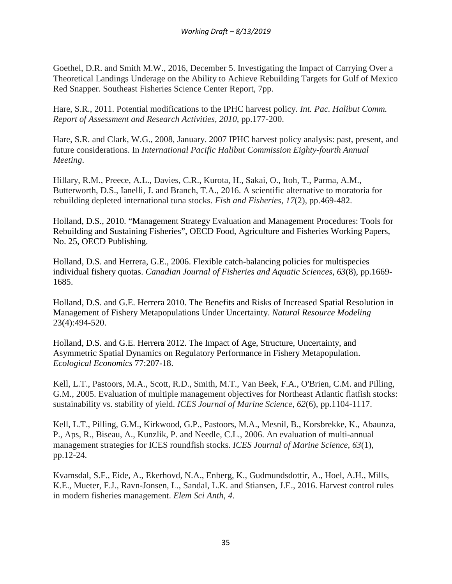Goethel, D.R. and Smith M.W., 2016, December 5. Investigating the Impact of Carrying Over a Theoretical Landings Underage on the Ability to Achieve Rebuilding Targets for Gulf of Mexico Red Snapper. Southeast Fisheries Science Center Report, 7pp.

Hare, S.R., 2011. Potential modifications to the IPHC harvest policy. *Int. Pac. Halibut Comm. Report of Assessment and Research Activities*, *2010*, pp.177-200.

Hare, S.R. and Clark, W.G., 2008, January. 2007 IPHC harvest policy analysis: past, present, and future considerations. In *International Pacific Halibut Commission Eighty-fourth Annual Meeting*.

Hillary, R.M., Preece, A.L., Davies, C.R., Kurota, H., Sakai, O., Itoh, T., Parma, A.M., Butterworth, D.S., Ianelli, J. and Branch, T.A., 2016. A scientific alternative to moratoria for rebuilding depleted international tuna stocks. *Fish and Fisheries*, *17*(2), pp.469-482.

Holland, D.S., 2010. "Management Strategy Evaluation and Management Procedures: Tools for Rebuilding and Sustaining Fisheries", OECD Food, Agriculture and Fisheries Working Papers, No. 25, OECD Publishing.

Holland, D.S. and Herrera, G.E., 2006. Flexible catch-balancing policies for multispecies individual fishery quotas. *Canadian Journal of Fisheries and Aquatic Sciences*, *63*(8), pp.1669- 1685.

Holland, D.S. and G.E. Herrera 2010. The Benefits and Risks of Increased Spatial Resolution in Management of Fishery Metapopulations Under Uncertainty. *Natural Resource Modeling* 23(4):494-520.

Holland, D.S. and G.E. Herrera 2012. The Impact of Age, Structure, Uncertainty, and Asymmetric Spatial Dynamics on Regulatory Performance in Fishery Metapopulation. *Ecological Economics* 77:207-18.

Kell, L.T., Pastoors, M.A., Scott, R.D., Smith, M.T., Van Beek, F.A., O'Brien, C.M. and Pilling, G.M., 2005. Evaluation of multiple management objectives for Northeast Atlantic flatfish stocks: sustainability vs. stability of yield. *ICES Journal of Marine Science*, *62*(6), pp.1104-1117.

Kell, L.T., Pilling, G.M., Kirkwood, G.P., Pastoors, M.A., Mesnil, B., Korsbrekke, K., Abaunza, P., Aps, R., Biseau, A., Kunzlik, P. and Needle, C.L., 2006. An evaluation of multi-annual management strategies for ICES roundfish stocks. *ICES Journal of Marine Science*, *63*(1), pp.12-24.

Kvamsdal, S.F., Eide, A., Ekerhovd, N.A., Enberg, K., Gudmundsdottir, A., Hoel, A.H., Mills, K.E., Mueter, F.J., Ravn-Jonsen, L., Sandal, L.K. and Stiansen, J.E., 2016. Harvest control rules in modern fisheries management. *Elem Sci Anth*, *4*.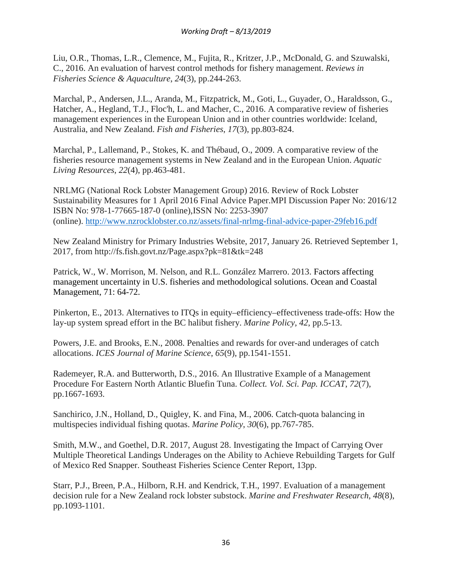Liu, O.R., Thomas, L.R., Clemence, M., Fujita, R., Kritzer, J.P., McDonald, G. and Szuwalski, C., 2016. An evaluation of harvest control methods for fishery management. *Reviews in Fisheries Science & Aquaculture*, *24*(3), pp.244-263.

Marchal, P., Andersen, J.L., Aranda, M., Fitzpatrick, M., Goti, L., Guyader, O., Haraldsson, G., Hatcher, A., Hegland, T.J., Floc'h, L. and Macher, C., 2016. A comparative review of fisheries management experiences in the European Union and in other countries worldwide: Iceland, Australia, and New Zealand. *Fish and Fisheries*, *17*(3), pp.803-824.

Marchal, P., Lallemand, P., Stokes, K. and Thébaud, O., 2009. A comparative review of the fisheries resource management systems in New Zealand and in the European Union. *Aquatic Living Resources*, *22*(4), pp.463-481.

NRLMG (National Rock Lobster Management Group) 2016. Review of Rock Lobster Sustainability Measures for 1 April 2016 Final Advice Paper.MPI Discussion Paper No: 2016/12 ISBN No: 978-1-77665-187-0 (online),ISSN No: 2253-3907 (online).<http://www.nzrocklobster.co.nz/assets/final-nrlmg-final-advice-paper-29feb16.pdf>

New Zealand Ministry for Primary Industries Website, 2017, January 26. Retrieved September 1, 2017, from http://fs.fish.govt.nz/Page.aspx?pk=81&tk=248

Patrick, W., W. Morrison, M. Nelson, and R.L. González Marrero. 2013. Factors affecting management uncertainty in U.S. fisheries and methodological solutions. Ocean and Coastal Management, 71: 64-72.

Pinkerton, E., 2013. Alternatives to ITQs in equity–efficiency–effectiveness trade-offs: How the lay-up system spread effort in the BC halibut fishery. *Marine Policy*, *42*, pp.5-13.

Powers, J.E. and Brooks, E.N., 2008. Penalties and rewards for over-and underages of catch allocations. *ICES Journal of Marine Science*, *65*(9), pp.1541-1551.

Rademeyer, R.A. and Butterworth, D.S., 2016. An Illustrative Example of a Management Procedure For Eastern North Atlantic Bluefin Tuna. *Collect. Vol. Sci. Pap. ICCAT*, *72*(7), pp.1667-1693.

Sanchirico, J.N., Holland, D., Quigley, K. and Fina, M., 2006. Catch-quota balancing in multispecies individual fishing quotas. *Marine Policy*, *30*(6), pp.767-785.

Smith, M.W., and Goethel, D.R. 2017, August 28. Investigating the Impact of Carrying Over Multiple Theoretical Landings Underages on the Ability to Achieve Rebuilding Targets for Gulf of Mexico Red Snapper. Southeast Fisheries Science Center Report, 13pp.

Starr, P.J., Breen, P.A., Hilborn, R.H. and Kendrick, T.H., 1997. Evaluation of a management decision rule for a New Zealand rock lobster substock. *Marine and Freshwater Research*, *48*(8), pp.1093-1101.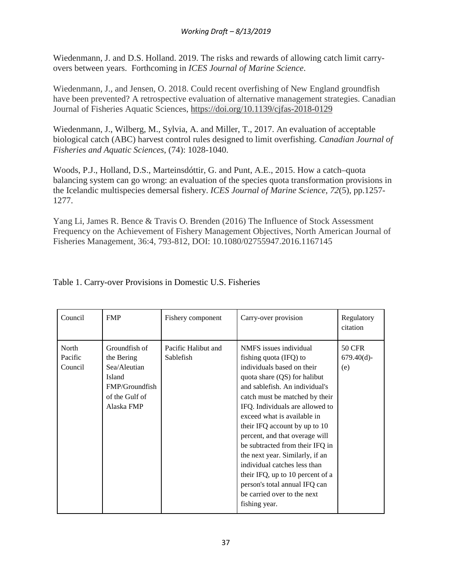Wiedenmann, J. and D.S. Holland. 2019. The risks and rewards of allowing catch limit carryovers between years. Forthcoming in *ICES Journal of Marine Science*.

Wiedenmann, J., and Jensen, O. 2018. Could recent overfishing of New England groundfish have been prevented? A retrospective evaluation of alternative management strategies. Canadian Journal of Fisheries Aquatic Sciences,<https://doi.org/10.1139/cjfas-2018-0129>

Wiedenmann, J., Wilberg, M., Sylvia, A. and Miller, T., 2017. An evaluation of acceptable biological catch (ABC) harvest control rules designed to limit overfishing. *Canadian Journal of Fisheries and Aquatic Sciences*, (74): 1028-1040.

Woods, P.J., Holland, D.S., Marteinsdóttir, G. and Punt, A.E., 2015. How a catch–quota balancing system can go wrong: an evaluation of the species quota transformation provisions in the Icelandic multispecies demersal fishery. *ICES Journal of Marine Science*, *72*(5), pp.1257- 1277.

Yang Li, James R. Bence & Travis O. Brenden (2016) The Influence of Stock Assessment Frequency on the Achievement of Fishery Management Objectives, North American Journal of Fisheries Management, 36:4, 793-812, DOI: 10.1080/02755947.2016.1167145

| Council                     | <b>FMP</b>                                                                                              | Fishery component                | Carry-over provision                                                                                                                                                                                                                                                                                                                                                                                                                                                                                                                               | Regulatory<br>citation                |
|-----------------------------|---------------------------------------------------------------------------------------------------------|----------------------------------|----------------------------------------------------------------------------------------------------------------------------------------------------------------------------------------------------------------------------------------------------------------------------------------------------------------------------------------------------------------------------------------------------------------------------------------------------------------------------------------------------------------------------------------------------|---------------------------------------|
| North<br>Pacific<br>Council | Groundfish of<br>the Bering<br>Sea/Aleutian<br>Island<br>FMP/Groundfish<br>of the Gulf of<br>Alaska FMP | Pacific Halibut and<br>Sablefish | NMFS issues individual<br>fishing quota (IFQ) to<br>individuals based on their<br>quota share (QS) for halibut<br>and sablefish. An individual's<br>catch must be matched by their<br>IFQ. Individuals are allowed to<br>exceed what is available in<br>their IFQ account by up to 10<br>percent, and that overage will<br>be subtracted from their IFQ in<br>the next year. Similarly, if an<br>individual catches less than<br>their IFQ, up to 10 percent of a<br>person's total annual IFQ can<br>be carried over to the next<br>fishing year. | <b>50 CFR</b><br>$679.40(d)$ -<br>(e) |

# Table 1. Carry-over Provisions in Domestic U.S. Fisheries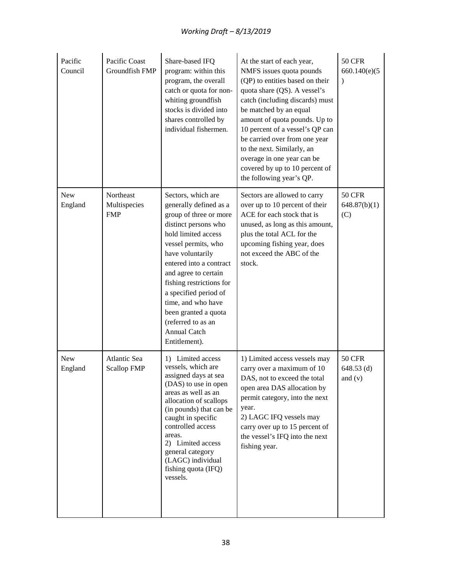| Pacific<br>Council    | Pacific Coast<br>Groundfish FMP         | Share-based IFQ<br>program: within this<br>program, the overall<br>catch or quota for non-<br>whiting groundfish<br>stocks is divided into<br>shares controlled by<br>individual fishermen.                                                                                                                                                                                   | At the start of each year,<br>NMFS issues quota pounds<br>(QP) to entities based on their<br>quota share (QS). A vessel's<br>catch (including discards) must<br>be matched by an equal<br>amount of quota pounds. Up to<br>10 percent of a vessel's QP can<br>be carried over from one year<br>to the next. Similarly, an<br>overage in one year can be<br>covered by up to 10 percent of<br>the following year's QP. | <b>50 CFR</b><br>660.140(e)(5)<br>$\lambda$ |
|-----------------------|-----------------------------------------|-------------------------------------------------------------------------------------------------------------------------------------------------------------------------------------------------------------------------------------------------------------------------------------------------------------------------------------------------------------------------------|-----------------------------------------------------------------------------------------------------------------------------------------------------------------------------------------------------------------------------------------------------------------------------------------------------------------------------------------------------------------------------------------------------------------------|---------------------------------------------|
| New<br>England        | Northeast<br>Multispecies<br><b>FMP</b> | Sectors, which are<br>generally defined as a<br>group of three or more<br>distinct persons who<br>hold limited access<br>vessel permits, who<br>have voluntarily<br>entered into a contract<br>and agree to certain<br>fishing restrictions for<br>a specified period of<br>time, and who have<br>been granted a quota<br>(referred to as an<br>Annual Catch<br>Entitlement). | Sectors are allowed to carry<br>over up to 10 percent of their<br>ACE for each stock that is<br>unused, as long as this amount,<br>plus the total ACL for the<br>upcoming fishing year, does<br>not exceed the ABC of the<br>stock.                                                                                                                                                                                   | <b>50 CFR</b><br>648.87(b)(1)<br>(C)        |
| <b>New</b><br>England | Atlantic Sea<br><b>Scallop FMP</b>      | 1) Limited access<br>vessels, which are<br>assigned days at sea<br>(DAS) to use in open<br>areas as well as an<br>allocation of scallops<br>(in pounds) that can be<br>caught in specific<br>controlled access<br>areas.<br>2) Limited access<br>general category<br>(LAGC) individual<br>fishing quota (IFQ)<br>vessels.                                                     | 1) Limited access vessels may<br>carry over a maximum of 10<br>DAS, not to exceed the total<br>open area DAS allocation by<br>permit category, into the next<br>year.<br>2) LAGC IFQ vessels may<br>carry over up to 15 percent of<br>the vessel's IFQ into the next<br>fishing year.                                                                                                                                 | <b>50 CFR</b><br>$648.53$ (d)<br>and $(v)$  |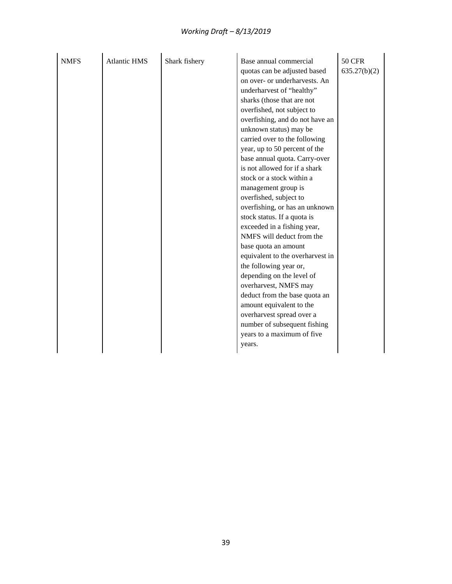## *Working Draft – 8/13/2019*

| <b>NMFS</b> | <b>Atlantic HMS</b> | Shark fishery | Base annual commercial<br>quotas can be adjusted based<br>on over- or underharvests. An<br>underharvest of "healthy"<br>sharks (those that are not<br>overfished, not subject to<br>overfishing, and do not have an<br>unknown status) may be<br>carried over to the following<br>year, up to 50 percent of the<br>base annual quota. Carry-over<br>is not allowed for if a shark<br>stock or a stock within a<br>management group is<br>overfished, subject to<br>overfishing, or has an unknown<br>stock status. If a quota is<br>exceeded in a fishing year,<br>NMFS will deduct from the<br>base quota an amount<br>equivalent to the overharvest in<br>the following year or,<br>depending on the level of<br>overharvest, NMFS may<br>deduct from the base quota an<br>amount equivalent to the<br>overharvest spread over a<br>number of subsequent fishing<br>years to a maximum of five<br>years. | <b>50 CFR</b><br>635.27(b)(2) |
|-------------|---------------------|---------------|------------------------------------------------------------------------------------------------------------------------------------------------------------------------------------------------------------------------------------------------------------------------------------------------------------------------------------------------------------------------------------------------------------------------------------------------------------------------------------------------------------------------------------------------------------------------------------------------------------------------------------------------------------------------------------------------------------------------------------------------------------------------------------------------------------------------------------------------------------------------------------------------------------|-------------------------------|
|-------------|---------------------|---------------|------------------------------------------------------------------------------------------------------------------------------------------------------------------------------------------------------------------------------------------------------------------------------------------------------------------------------------------------------------------------------------------------------------------------------------------------------------------------------------------------------------------------------------------------------------------------------------------------------------------------------------------------------------------------------------------------------------------------------------------------------------------------------------------------------------------------------------------------------------------------------------------------------------|-------------------------------|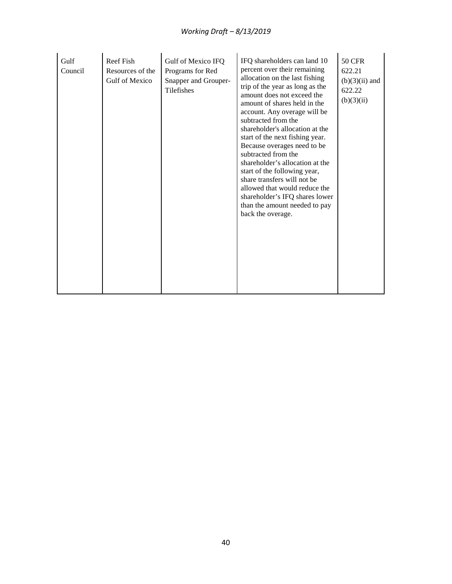| Gulf<br>Council | Reef Fish<br>Resources of the<br>Gulf of Mexico | Gulf of Mexico IFQ<br>Programs for Red<br>Snapper and Grouper-<br>Tilefishes | IFQ shareholders can land 10<br>percent over their remaining<br>allocation on the last fishing<br>trip of the year as long as the<br>amount does not exceed the<br>amount of shares held in the<br>account. Any overage will be<br>subtracted from the<br>shareholder's allocation at the<br>start of the next fishing year.<br>Because overages need to be<br>subtracted from the<br>shareholder's allocation at the<br>start of the following year,<br>share transfers will not be<br>allowed that would reduce the<br>shareholder's IFQ shares lower<br>than the amount needed to pay<br>back the overage. | <b>50 CFR</b><br>622.21<br>$(b)(3)(ii)$ and<br>622.22<br>(b)(3)(ii) |
|-----------------|-------------------------------------------------|------------------------------------------------------------------------------|---------------------------------------------------------------------------------------------------------------------------------------------------------------------------------------------------------------------------------------------------------------------------------------------------------------------------------------------------------------------------------------------------------------------------------------------------------------------------------------------------------------------------------------------------------------------------------------------------------------|---------------------------------------------------------------------|
|-----------------|-------------------------------------------------|------------------------------------------------------------------------------|---------------------------------------------------------------------------------------------------------------------------------------------------------------------------------------------------------------------------------------------------------------------------------------------------------------------------------------------------------------------------------------------------------------------------------------------------------------------------------------------------------------------------------------------------------------------------------------------------------------|---------------------------------------------------------------------|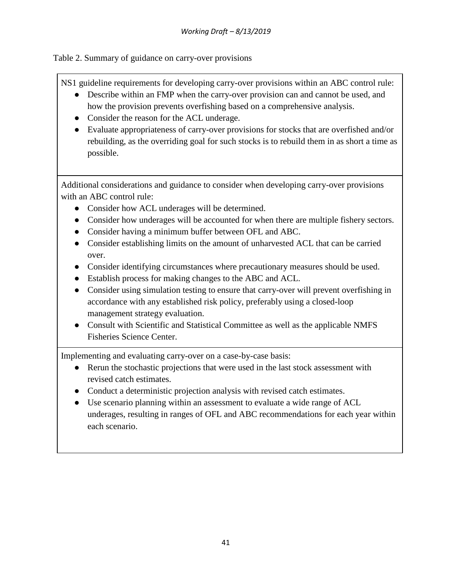Table 2. Summary of guidance on carry-over provisions

NS1 guideline requirements for developing carry-over provisions within an ABC control rule:

- Describe within an FMP when the carry-over provision can and cannot be used, and how the provision prevents overfishing based on a comprehensive analysis.
- Consider the reason for the ACL underage.
- Evaluate appropriateness of carry-over provisions for stocks that are overfished and/or rebuilding, as the overriding goal for such stocks is to rebuild them in as short a time as possible.

Additional considerations and guidance to consider when developing carry-over provisions with an ABC control rule:

- Consider how ACL underages will be determined.
- Consider how underages will be accounted for when there are multiple fishery sectors.
- Consider having a minimum buffer between OFL and ABC.
- Consider establishing limits on the amount of unharvested ACL that can be carried over.
- Consider identifying circumstances where precautionary measures should be used.
- Establish process for making changes to the ABC and ACL.
- Consider using simulation testing to ensure that carry-over will prevent over fishing in accordance with any established risk policy, preferably using a closed-loop management strategy evaluation.
- Consult with Scientific and Statistical Committee as well as the applicable NMFS Fisheries Science Center.

Implementing and evaluating carry-over on a case-by-case basis:

- Rerun the stochastic projections that were used in the last stock assessment with revised catch estimates.
- Conduct a deterministic projection analysis with revised catch estimates.
- Use scenario planning within an assessment to evaluate a wide range of ACL underages, resulting in ranges of OFL and ABC recommendations for each year within each scenario.